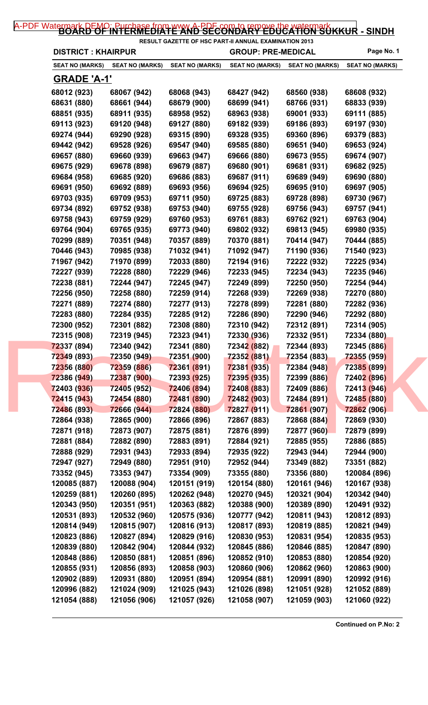## [A-PDF Watermark DEMO: Purchase from www.A-PDF.com to remove the watermark](http://www.a-pdf.com/?wm-demo) KKUR - SINDH

| <b>DISTRICT: KHAIRPUR</b> |                        |                        | <b>GROUP: PRE-MEDICAL</b> |                        | Page No. 1             |
|---------------------------|------------------------|------------------------|---------------------------|------------------------|------------------------|
| <b>SEAT NO (MARKS)</b>    | <b>SEAT NO (MARKS)</b> | <b>SEAT NO (MARKS)</b> | <b>SEAT NO (MARKS)</b>    | <b>SEAT NO (MARKS)</b> | <b>SEAT NO (MARKS)</b> |
| <b>GRADE 'A-1'</b>        |                        |                        |                           |                        |                        |
| 68012 (923)               | 68067 (942)            | 68068 (943)            | 68427 (942)               | 68560 (938)            | 68608 (932)            |
| 68631 (880)               | 68661 (944)            | 68679 (900)            | 68699 (941)               | 68766 (931)            | 68833 (939)            |
| 68851 (935)               | 68911 (935)            | 68958 (952)            | 68963 (938)               | 69001 (933)            | 69111 (885)            |
| 69113 (923)               | 69120 (948)            | 69127 (880)            | 69182 (939)               | 69186 (893)            | 69197 (930)            |
| 69274 (944)               | 69290 (928)            | 69315 (890)            | 69328 (935)               | 69360 (896)            | 69379 (883)            |
| 69442 (942)               | 69528 (926)            | 69547 (940)            | 69585 (880)               | 69651 (940)            | 69653 (924)            |
| 69657 (880)               | 69660 (939)            | 69663 (947)            | 69666 (880)               | 69673 (955)            | 69674 (907)            |
| 69675 (929)               | 69678 (898)            | 69679 (887)            | 69680 (901)               | 69681 (931)            | 69682 (925)            |
| 69684 (958)               | 69685 (920)            | 69686 (883)            | 69687 (911)               | 69689 (949)            | 69690 (880)            |
| 69691 (950)               | 69692 (889)            | 69693 (956)            | 69694 (925)               | 69695 (910)            | 69697 (905)            |
| 69703 (935)               | 69709 (953)            | 69711 (950)            | 69725 (883)               | 69728 (898)            | 69730 (967)            |
| 69734 (892)               | 69752 (938)            | 69753 (940)            | 69755 (928)               | 69756 (943)            | 69757 (941)            |
| 69758 (943)               | 69759 (929)            | 69760 (953)            | 69761 (883)               | 69762 (921)            | 69763 (904)            |
| 69764 (904)               | 69765 (935)            | 69773 (940)            | 69802 (932)               | 69813 (945)            | 69980 (935)            |
| 70299 (889)               | 70351 (948)            | 70357 (889)            | 70370 (881)               | 70414 (947)            | 70444 (885)            |
| 70446 (943)               | 70985 (938)            | 71032 (941)            | 71092 (947)               | 71190 (936)            | 71540 (923)            |
| 71967 (942)               | 71970 (899)            | 72033 (880)            | 72194 (916)               | 72222 (932)            | 72225 (934)            |
| 72227 (939)               | 72228 (880)            | 72229 (946)            | 72233 (945)               | 72234 (943)            | 72235 (946)            |
| 72238 (881)               | 72244 (947)            | 72245 (947)            | 72249 (899)               | 72250 (950)            | 72254 (944)            |
| 72256 (950)               | 72258 (880)            | 72259 (914)            | 72268 (939)               | 72269 (938)            | 72270 (880)            |
| 72271 (889)               | 72274 (880)            | 72277 (913)            | 72278 (899)               | 72281 (880)            | 72282 (936)            |
| 72283 (880)               | 72284 (935)            | 72285 (912)            | 72286 (890)               | 72290 (946)            | 72292 (880)            |
| 72300 (952)               | 72301 (882)            | 72308 (880)            | 72310 (942)               | 72312 (891)            | 72314 (905)            |
| 72315 (908)               | 72319 (945)            | 72323 (941)            | 72330 (936)               | 72332 (951)            | 72334 (880)            |
| 72337 (894)               | 72340 (942)            | 72341 (880)            | 72342 (882)               | 72344 (893)            | 72345 (886)            |
| 72349 (893)               | 72350 (949)            | 72351 (900)            | 72352 (881)               | 72354 (883)            | <b>72355 (959)</b>     |
| 72356 (880)               | 72359 (886)            | 72361 (891)            | 72381 (935)               | 72384 (948)            | 72385 (899)            |
| 72386 (949)               | 72387 (900)            | 72393 (925)            | 72395 (935)               | 72399 (886)            | 72402 (896)            |
| 72403 (936)               | 72405 (952)            | 72406 (894)            | 72408 (883)               | <b>72409 (886)</b>     | 72413 (946)            |
| 72415 (943)               | 72454 (880)            | 72481 (890)            | 72482 (903)               | 72484 (891)            | 72485 (880)            |
| 72486 (893)               | 72666 (944)            | 72824 (880)            | 72827 (911)               | 72861 (907)            | 72862 (906)            |
| 72864 (938)               | 72865 (900)            | 72866 (896)            | 72867 (883)               | <b>72868 (884)</b>     | 72869 (930)            |
| 72871 (918)               | 72873 (907)            | 72875 (881)            | 72876 (899)               | <b>72877 (960)</b>     | 72879 (899)            |
| 72881 (884)               | 72882 (890)            | 72883 (891)            | 72884 (921)               | 72885 (955)            | 72886 (885)            |
| 72888 (929)               | 72931 (943)            | 72933 (894)            | 72935 (922)               | 72943 (944)            | 72944 (900)            |
| 72947 (927)               | 72949 (880)            | 72951 (910)            | 72952 (944)               | 73349 (882)            | 73351 (882)            |
| 73352 (945)               | 73353 (947)            | 73354 (909)            | 73355 (880)               | 73356 (880)            | 120084 (896)           |
| 120085 (887)              | 120088 (904)           | 120151 (919)           | 120154 (880)              | 120161 (946)           | 120167 (938)           |
| 120259 (881)              | 120260 (895)           | 120262 (948)           | 120270 (945)              | 120321 (904)           | 120342 (940)           |
| 120343 (950)              | 120351 (951)           | 120363 (882)           | 120388 (900)              | 120389 (890)           | 120491 (932)           |
| 120531 (893)              | 120532 (960)           | 120575 (936)           | 120777 (942)              | 120811 (943)           | 120812 (893)           |
| 120814 (949)              | 120815 (907)           | 120816 (913)           | 120817 (893)              | 120819 (885)           | 120821 (949)           |
| 120823 (886)              | 120827 (894)           | 120829 (916)           | 120830 (953)              | 120831 (954)           | 120835 (953)           |
| 120839 (880)              | 120842 (904)           | 120844 (932)           | 120845 (886)              | 120846 (885)           | 120847 (890)           |
| 120848 (886)              | 120850 (881)           | 120851 (896)           | 120852 (910)              | 120853 (880)           | 120854 (920)           |
| 120855 (931)              | 120856 (893)           | 120858 (903)           | 120860 (906)              | 120862 (960)           | 120863 (900)           |
| 120902 (889)              | 120931 (880)           | 120951 (894)           | 120954 (881)              | 120991 (890)           | 120992 (916)           |
| 120996 (882)              | 121024 (909)           | 121025 (943)           | 121026 (898)              | 121051 (928)           | 121052 (889)           |
| 121054 (888)              | 121056 (906)           | 121057 (926)           | 121058 (907)              | 121059 (903)           | 121060 (922)           |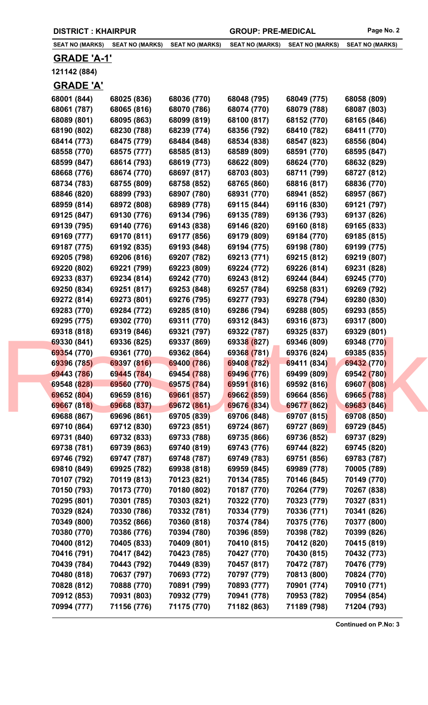| <b>SEAT NO (MARKS)</b> | <b>SEAT NO (MARKS)</b> | <b>SEAT NO (MARKS)</b> | <b>SEAT NO (MARKS)</b> | <b>SEAT NO (MARKS)</b> | <b>SEAT NO (MARKS)</b> |
|------------------------|------------------------|------------------------|------------------------|------------------------|------------------------|
| <b>GRADE 'A-1'</b>     |                        |                        |                        |                        |                        |
| 121142 (884)           |                        |                        |                        |                        |                        |
| <b>GRADE 'A'</b>       |                        |                        |                        |                        |                        |
| 68001 (844)            | 68025 (836)            | 68036 (770)            | 68048 (795)            | 68049 (775)            | 68058 (809)            |
| 68061 (787)            | 68065 (816)            | 68070 (786)            | 68074 (770)            | 68079 (788)            | 68087 (803)            |
| 68089 (801)            | 68095 (863)            | 68099 (819)            | 68100 (817)            | 68152 (770)            | 68165 (846)            |
| 68190 (802)            | 68230 (788)            | 68239 (774)            | 68356 (792)            | 68410 (782)            | 68411 (770)            |
| 68414 (773)            | 68475 (779)            | 68484 (848)            | 68534 (838)            | 68547 (823)            | 68556 (804)            |
| 68558 (770)            | 68575 (777)            | 68585 (813)            | 68589 (809)            | 68591 (770)            | 68595 (847)            |
| 68599 (847)            | 68614 (793)            | 68619 (773)            | 68622 (809)            | 68624 (770)            | 68632 (829)            |
| 68668 (776)            | 68674 (770)            | 68697 (817)            | 68703 (803)            | 68711 (799)            | 68727 (812)            |
| 68734 (783)            | 68755 (809)            | 68758 (852)            | 68765 (860)            | 68816 (817)            | 68836 (770)            |
| 68846 (820)            | 68899 (793)            | 68907 (780)            | 68931 (770)            | 68941 (852)            | 68957 (867)            |
| 68959 (814)            | 68972 (808)            | 68989 (778)            | 69115 (844)            | 69116 (830)            | 69121 (797)            |
| 69125 (847)            | 69130 (776)            | 69134 (796)            | 69135 (789)            | 69136 (793)            | 69137 (826)            |
| 69139 (795)            | 69140 (776)            | 69143 (838)            | 69146 (820)            | 69160 (818)            | 69165 (833)            |
| 69169 (777)            | 69170 (811)            | 69177 (856)            | 69179 (809)            | 69184 (770)            | 69185 (815)            |
| 69187 (775)            | 69192 (835)            | 69193 (848)            | 69194 (775)            | 69198 (780)            | 69199 (775)            |
| 69205 (798)            | 69206 (816)            | 69207 (782)            | 69213 (771)            | 69215 (812)            | 69219 (807)            |
| 69220 (802)            | 69221 (799)            | 69223 (809)            | 69224 (772)            | 69226 (814)            | 69231 (828)            |
| 69233 (837)            | 69234 (814)            | 69242 (770)            | 69243 (812)            | 69244 (844)            | 69245 (770)            |
| 69250 (834)            | 69251 (817)            | 69253 (848)            | 69257 (784)            | 69258 (831)            | 69269 (792)            |
| 69272 (814)            | 69273 (801)            | 69276 (795)            | 69277 (793)            | 69278 (794)            | 69280 (830)            |
| 69283 (770)            | 69284 (772)            | 69285 (810)            | 69286 (794)            | 69288 (805)            | 69293 (855)            |
| 69295 (775)            | 69302 (770)            | 69311 (770)            | 69312 (843)            | 69316 (873)            | 69317 (800)            |
| 69318 (818)            | 69319 (846)            | 69321 (797)            | 69322 (787)            | 69325 (837)            | 69329 (801)            |
| 69330 (841)            | 69336 (825)            | 69337 (869)            | 69338 (827)            | 69346 (809)            | 69348 (770)            |
| 69354 (770)            | 69361 (770)            | 69362 (864)            | 69368 (781)            | 69376 (824)            | 69385 (835)            |
| 69396 (785)            | 69397 (816)            | 69400 (786)            | 69408 (782)            | 69411 (834)            | 69432 (770)            |
| 69443 (786)            | 69445 (784)            | 69454 (788)            | 69496 (776)            | 69499 (809)            | 69542 (780)            |
| 69548 (828)            | 69560 (770)            | 69575 (784)            | 69591 (816)            | 69592 (816)            | 69607 (808)            |
| 69652 (804)            | 69659 (816)            | 69661 (857)            | 69662 (859)            | 69664 (856)            | 69665 (788)            |
| 69667 (818)            | 69668 (837)            | 69672 (861)            | 69676 (834)            | 69677 (862)            | 69683 (846)            |
| 69688 (867)            | 69696 (861)            | 69705 (839)            | 69706 (848)            | 69707 (815)            | 69708 (850)            |
| 69710 (864)            | 69712 (830)            | 69723 (851)            | 69724 (867)            | 69727 (869)            | 69729 (845)            |
| 69731 (840)            | 69732 (833)            | 69733 (788)            | 69735 (866)            | 69736 (852)            | 69737 (829)            |
| 69738 (781)            | 69739 (863)            | 69740 (819)            | 69743 (776)            | 69744 (822)            | 69745 (820)            |
| 69746 (792)            | 69747 (787)            | 69748 (787)            | 69749 (783)            | 69751 (856)            | 69783 (787)            |
| 69810 (849)            | 69925 (782)            | 69938 (818)            | 69959 (845)            | 69989 (778)            | 70005 (789)            |
| 70107 (792)            | 70119 (813)            | 70123 (821)            | 70134 (785)            | 70146 (845)            | 70149 (770)            |
| 70150 (793)            | 70173 (770)            | 70180 (802)            | 70187 (770)            | 70264 (779)            | 70267 (838)            |
| 70295 (801)            | 70301 (785)            | 70303 (821)            | 70322 (770)            | 70323 (779)            | 70327 (831)            |
| 70329 (824)            | 70330 (786)            | 70332 (781)            | 70334 (779)            | 70336 (771)            | 70341 (826)            |
| 70349 (800)            | 70352 (866)            | 70360 (818)            | 70374 (784)            | 70375 (776)            | 70377 (800)            |
| 70380 (770)            | 70386 (776)            | 70394 (780)            | 70396 (859)            | 70398 (782)            | 70399 (826)            |
| 70400 (812)            | 70405 (833)            | 70409 (801)            | 70410 (815)            | 70412 (820)            | 70415 (819)            |
| 70416 (791)            | 70417 (842)            | 70423 (785)            | 70427 (770)            | 70430 (815)            | 70432 (773)            |
| 70439 (784)            | 70443 (792)            | 70449 (839)            | 70457 (817)            | 70472 (787)            | 70476 (779)            |
| 70480 (818)            | 70637 (797)            | 70693 (772)            | 70797 (779)            | 70813 (800)            | 70824 (770)            |
| 70828 (812)            | 70888 (770)            | 70891 (799)            | 70893 (777)            | 70901 (774)            | 70910 (771)            |
| 70912 (853)            | 70931 (803)            | 70932 (779)            | 70941 (778)            | 70953 (782)            | 70954 (854)            |
| 70994 (777)            | 71156 (776)            | 71175 (770)            | 71182 (863)            | 71189 (798)            | 71204 (793)            |

**DISTRICT : KHAIRPUR GROUP: PRE-MEDICAL Page No. 2**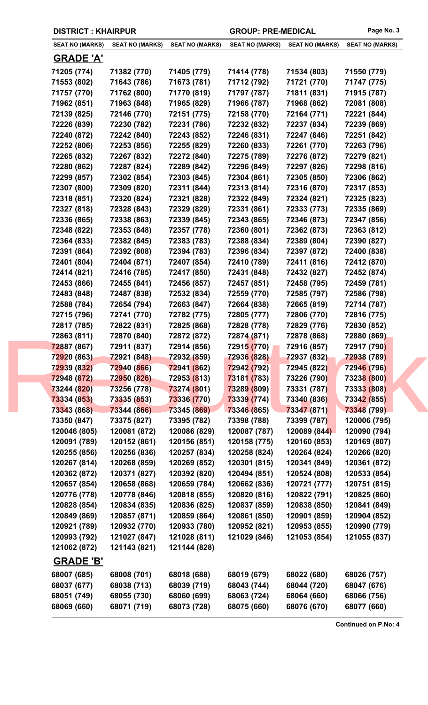|  | <b>DISTRICT: KHAIRPUR</b> |
|--|---------------------------|
|--|---------------------------|

|  | <b>SEAT NO (MARKS)</b>     | <b>SEAT NO (MARKS)</b>     | <b>SEAT NO (MARKS)</b>     | <b>SEAT NO (MARKS)</b>     | <b>SEAT NO (MARKS)</b>     | <b>SEAT NO (MARKS)</b>     |
|--|----------------------------|----------------------------|----------------------------|----------------------------|----------------------------|----------------------------|
|  | <b>GRADE 'A'</b>           |                            |                            |                            |                            |                            |
|  | 71205 (774)                | 71382 (770)                | 71405 (779)                | 71414 (778)                | 71534 (803)                | 71550 (779)                |
|  | 71553 (802)                | 71643 (786)                | 71673 (781)                | 71712 (792)                | 71721 (770)                | 71747 (775)                |
|  | 71757 (770)                | 71762 (800)                | 71770 (819)                | 71797 (787)                | 71811 (831)                | 71915 (787)                |
|  | 71962 (851)                | 71963 (848)                | 71965 (829)                | 71966 (787)                | 71968 (862)                | 72081 (808)                |
|  | 72139 (825)                | 72146 (770)                | 72151 (775)                | 72158 (770)                | 72164 (771)                | 72221 (844)                |
|  | 72226 (839)                | 72230 (782)                | 72231 (786)                | 72232 (832)                | 72237 (834)                | 72239 (869)                |
|  | 72240 (872)                | 72242 (840)                | 72243 (852)                | 72246 (831)                | 72247 (846)                | 72251 (842)                |
|  | 72252 (806)                | 72253 (856)                | 72255 (829)                | 72260 (833)                | 72261 (770)                | 72263 (796)                |
|  | 72265 (832)                | 72267 (832)                | 72272 (840)                | 72275 (789)                | 72276 (872)                | 72279 (821)                |
|  | 72280 (862)                | 72287 (824)                | 72289 (842)                | 72296 (849)                | 72297 (826)                | 72298 (816)                |
|  | 72299 (857)                | 72302 (854)                | 72303 (845)                | 72304 (861)                | 72305 (850)                | 72306 (862)                |
|  | 72307 (800)                | 72309 (820)                | 72311 (844)                | 72313 (814)                | 72316 (870)                | 72317 (853)                |
|  | 72318 (851)                | 72320 (824)                | 72321 (828)                | 72322 (849)                | 72324 (821)                | 72325 (823)                |
|  | 72327 (818)                | 72328 (843)                | 72329 (829)                | 72331 (861)                | 72333 (773)                | 72335 (869)                |
|  | 72336 (865)                | 72338 (863)                | 72339 (845)                | 72343 (865)                | 72346 (873)                | 72347 (856)                |
|  | 72348 (822)                | 72353 (848)                | 72357 (778)                | 72360 (801)                | 72362 (873)                | 72363 (812)                |
|  | 72364 (833)                | 72382 (845)                | 72383 (783)                | 72388 (834)                | 72389 (804)                | 72390 (827)                |
|  | 72391 (864)                | 72392 (808)                | 72394 (783)                | 72396 (834)                | 72397 (872)                | 72400 (838)                |
|  | 72401 (804)                | 72404 (871)                | 72407 (854)                | 72410 (789)                | 72411 (816)                | 72412 (870)                |
|  | 72414 (821)                | 72416 (785)                | 72417 (850)                | 72431 (848)                | 72432 (827)                | 72452 (874)                |
|  | 72453 (866)                | 72455 (841)                | 72456 (857)                | 72457 (851)                | 72458 (795)                | 72459 (781)                |
|  | 72483 (848)                | 72487 (838)                | 72532 (834)                | 72559 (770)                | 72585 (797)                | 72586 (798)                |
|  | 72588 (784)                | 72654 (794)                | 72663 (847)                | 72664 (838)                | 72665 (819)                | 72714 (787)                |
|  | 72715 (796)                | 72741 (770)                | 72782 (775)                | 72805 (777)                | 72806 (770)                | 72816 (775)                |
|  | 72817 (785)                | 72822 (831)                | 72825 (868)                | 72828 (778)                | 72829 (776)                | 72830 (852)                |
|  | 72863 (811)                | 72870 (840)                | 72872 (872)                | 72874 (871)                | 72878 (868)                | 72880 (869)                |
|  | 72887 (867)                | 72911 (837)                | 72914 (856)                | 72915 (770)                | 72916 (857)                | 72917 (790)                |
|  | 72920 (863)                | 72921 (848)                | 72932 (859)                | 72936 (828)                | 72937 (832)                | 72938 (789)                |
|  | 72939 (832)                | 72940 (866)                | 72941 (862)                | 72942 (792)                | 72945 (822)                | 72946 (796)                |
|  | 72948 (872)                | 72950 (826)<br>73256 (778) | <b>72953 (813)</b>         | 73181 (783)                | 73226 (790)<br>73331 (787) | 73238 (800)                |
|  | 73244 (820)                | 73335 (853)                | 73274 (801)                | 73289 (809)                | 73340 (836)                | 73333 (808)                |
|  | 73334 (853)<br>73343 (868) | 73344 (866)                | 73336 (770)<br>73345 (869) | 73339 (774)<br>73346 (865) | 73347 (871)                | 73342 (855)<br>73348 (799) |
|  | 73350 (847)                | 73375 (827)                | 73395 (782)                | 73398 (788)                | 73399 (787)                | 120006 (795)               |
|  | 120046 (805)               | 120081 (872)               | 120086 (829)               | 120087 (787)               | 120089 (844)               | 120090 (794)               |
|  | 120091 (789)               | 120152 (861)               | 120156 (851)               | 120158 (775)               | 120160 (853)               | 120169 (807)               |
|  | 120255 (856)               | 120256 (836)               | 120257 (834)               | 120258 (824)               | 120264 (824)               | 120266 (820)               |
|  | 120267 (814)               | 120268 (859)               | 120269 (852)               | 120301 (815)               | 120341 (849)               | 120361 (872)               |
|  | 120362 (872)               | 120371 (827)               | 120392 (820)               | 120494 (851)               | 120524 (808)               | 120533 (854)               |
|  | 120657 (854)               | 120658 (868)               | 120659 (784)               | 120662 (836)               | 120721 (777)               | 120751 (815)               |
|  | 120776 (778)               | 120778 (846)               | 120818 (855)               | 120820 (816)               | 120822 (791)               | 120825 (860)               |
|  | 120828 (854)               | 120834 (835)               | 120836 (825)               | 120837 (859)               | 120838 (850)               | 120841 (849)               |
|  | 120849 (869)               | 120857 (871)               | 120859 (864)               | 120861 (850)               | 120901 (859)               | 120904 (852)               |
|  | 120921 (789)               | 120932 (770)               | 120933 (780)               | 120952 (821)               | 120953 (855)               | 120990 (779)               |
|  | 120993 (792)               | 121027 (847)               | 121028 (811)               | 121029 (846)               | 121053 (854)               | 121055 (837)               |
|  | 121062 (872)               | 121143 (821)               | 121144 (828)               |                            |                            |                            |
|  | <b>GRADE 'B'</b>           |                            |                            |                            |                            |                            |
|  | 68007 (685)                | 68008 (701)                | 68018 (688)                | 68019 (679)                | 68022 (680)                | 68026 (757)                |
|  | 68037 (677)                | 68038 (713)                | 68039 (719)                | 68043 (744)                | 68044 (720)                | 68047 (676)                |
|  | 68051 (749)                | 68055 (730)                | 68060 (699)                | 68063 (724)                | 68064 (660)                | 68066 (756)                |
|  | 68069 (660)                | 68071 (719)                | 68073 (728)                | 68075 (660)                | 68076 (670)                | 68077 (660)                |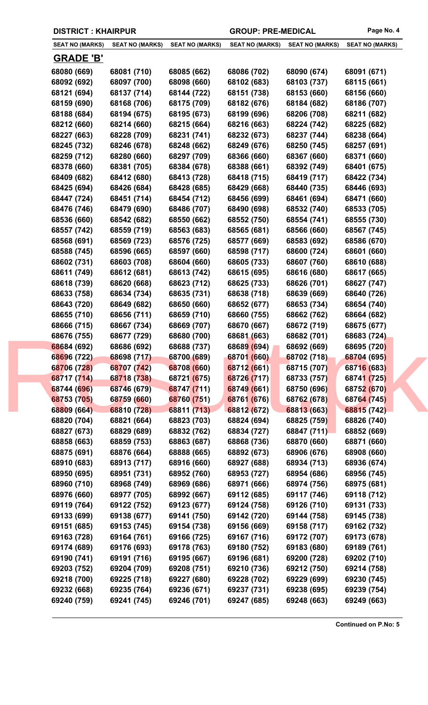| <b>SEAT NO (MARKS)</b> | <b>SEAT NO (MARKS)</b> | <b>SEAT NO (MARKS)</b> | <b>SEAT NO (MARKS)</b> | <b>SEAT NO (MARKS)</b> | <b>SEAT NO (MARKS)</b> |
|------------------------|------------------------|------------------------|------------------------|------------------------|------------------------|
| <b>GRADE 'B'</b>       |                        |                        |                        |                        |                        |
| 68080 (669)            | 68081 (710)            | 68085 (662)            | 68086 (702)            | 68090 (674)            | 68091 (671)            |
| 68092 (692)            | 68097 (700)            | 68098 (660)            | 68102 (683)            | 68103 (737)            | 68115 (661)            |
| 68121 (694)            | 68137 (714)            | 68144 (722)            | 68151 (738)            | 68153 (660)            | 68156 (660)            |
| 68159 (690)            | 68168 (706)            | 68175 (709)            | 68182 (676)            | 68184 (682)            | 68186 (707)            |
| 68188 (684)            | 68194 (675)            | 68195 (673)            | 68199 (696)            | 68206 (708)            | 68211 (682)            |
| 68212 (660)            | 68214 (660)            | 68215 (664)            | 68216 (663)            | 68224 (742)            | 68225 (682)            |
| 68227 (663)            | 68228 (709)            | 68231 (741)            | 68232 (673)            | 68237 (744)            | 68238 (664)            |
| 68245 (732)            | 68246 (678)            | 68248 (662)            | 68249 (676)            | 68250 (745)            | 68257 (691)            |
| 68259 (712)            | 68280 (660)            | 68297 (709)            | 68366 (660)            | 68367 (660)            | 68371 (660)            |
| 68378 (660)            | 68381 (705)            | 68384 (678)            | 68388 (661)            | 68392 (749)            | 68401 (675)            |
| 68409 (682)            | 68412 (680)            | 68413 (728)            | 68418 (715)            | 68419 (717)            | 68422 (734)            |
| 68425 (694)            | 68426 (684)            | 68428 (685)            | 68429 (668)            | 68440 (735)            | 68446 (693)            |
| 68447 (724)            | 68451 (714)            | 68454 (712)            | 68456 (699)            | 68461 (694)            | 68471 (660)            |
| 68476 (746)            | 68479 (690)            | 68486 (707)            | 68490 (698)            | 68532 (740)            | 68533 (705)            |
| 68536 (660)            | 68542 (682)            | 68550 (662)            | 68552 (750)            | 68554 (741)            | 68555 (730)            |
| 68557 (742)            | 68559 (719)            | 68563 (683)            | 68565 (681)            | 68566 (660)            | 68567 (745)            |
| 68568 (691)            | 68569 (723)            | 68576 (725)            | 68577 (669)            | 68583 (692)            | 68586 (670)            |
| 68588 (745)            | 68596 (665)            | 68597 (660)            | 68598 (717)            | 68600 (724)            | 68601 (660)            |
| 68602 (731)            | 68603 (708)            | 68604 (660)            | 68605 (733)            | 68607 (760)            | 68610 (688)            |
| 68611 (749)            | 68612 (681)            | 68613 (742)            | 68615 (695)            | 68616 (680)            | 68617 (665)            |
| 68618 (739)            | 68620 (668)            | 68623 (712)            | 68625 (733)            | 68626 (701)            | 68627 (747)            |
| 68633 (758)            | 68634 (734)            | 68635 (731)            | 68638 (718)            | 68639 (669)            | 68640 (726)            |
| 68643 (720)            | 68649 (682)            | 68650 (660)            | 68652 (677)            | 68653 (734)            | 68654 (740)            |
| 68655 (710)            | 68656 (711)            | 68659 (710)            | 68660 (755)            | 68662 (762)            | 68664 (682)            |
| 68666 (715)            | 68667 (734)            | 68669 (707)            | 68670 (667)            | 68672 (719)            | 68675 (677)            |
| 68676 (755)            | 68677 (729)            | 68680 (700)            | 68681 (663)            | 68682 (701)            | 68683 (724)            |
| 68684 (692)            | 68686 (692)            | 68688 (737)            | 68689 (694)            | 68692 (669)            | 68695 (720)            |
| 68696 (722)            | 68698 (717)            | 68700 (689)            | 68701 (660)            | 68702 (718)            | 68704 (695)            |
| 68706 (728)            | 68707 (742)            | 68708 (660)            | 68712 (661)            | 68715 (707)            | 68716 (683)            |
| 68717 (714)            | 68718 (738)            | 68721 (675)            | 68726 (717)            | 68733 (757)            | 68741 (725)            |
| 68744 (696)            | 68746 (679)            | 68747 (711)            | 68749 (661)            | 68750 (696)            | 68752 (670)            |
| 68753 (705)            | 68759 (660)            | 68760 (751)            | 68761 (676)            | 68762 (678)            | 68764 (745)            |
| 68809 (664)            | 68810 (728)            | 68811 (713)            | 68812 (672)            | 68813 (663)            | 68815 (742)            |
| 68820 (704)            | 68821 (664)            | 68823 (703)            | 68824 (694)            | 68825 (759)            | 68826 (740)            |
| 68827 (673)            | 68829 (689)            | 68832 (762)            | 68834 (727)            | 68847 (711)            | 68852 (669)            |
| 68858 (663)            | 68859 (753)            | 68863 (687)            | 68868 (736)            | 68870 (660)            | 68871 (660)            |
| 68875 (691)            | 68876 (664)            | 68888 (665)            | 68892 (673)            | 68906 (676)            | 68908 (660)            |
| 68910 (683)            | 68913 (717)            | 68916 (660)            | 68927 (688)            | 68934 (713)            | 68936 (674)            |
| 68950 (695)            | 68951 (731)            | 68952 (760)            | 68953 (727)            | 68954 (686)            | 68956 (745)            |
| 68960 (710)            | 68968 (749)            | 68969 (686)            | 68971 (666)            | 68974 (756)            | 68975 (681)            |
| 68976 (660)            | 68977 (705)            | 68992 (667)            | 69112 (685)            | 69117 (746)            | 69118 (712)            |
| 69119 (764)            | 69122 (752)            | 69123 (677)            | 69124 (758)            | 69126 (710)            | 69131 (733)            |
| 69133 (699)            | 69138 (677)            | 69141 (750)            | 69142 (720)            | 69144 (758)            | 69145 (738)            |
| 69151 (685)            | 69153 (745)            | 69154 (738)            | 69156 (669)            | 69158 (717)            | 69162 (732)            |
| 69163 (728)            | 69164 (761)            | 69166 (725)            | 69167 (716)            | 69172 (707)            | 69173 (678)            |
| 69174 (689)            | 69176 (693)            | 69178 (763)            | 69180 (752)            | 69183 (680)            | 69189 (761)            |
| 69190 (741)            | 69191 (716)            | 69195 (667)            | 69196 (681)            | 69200 (728)            | 69202 (710)            |
| 69203 (752)            | 69204 (709)            | 69208 (751)            | 69210 (736)            | 69212 (750)            | 69214 (758)            |
| 69218 (700)            | 69225 (718)            | 69227 (680)            | 69228 (702)            | 69229 (699)            | 69230 (745)            |
| 69232 (668)            | 69235 (764)            | 69236 (671)            | 69237 (731)            | 69238 (695)            | 69239 (754)            |
| 69240 (759)            | 69241 (745)            | 69246 (701)            | 69247 (685)            | 69248 (663)            | 69249 (663)            |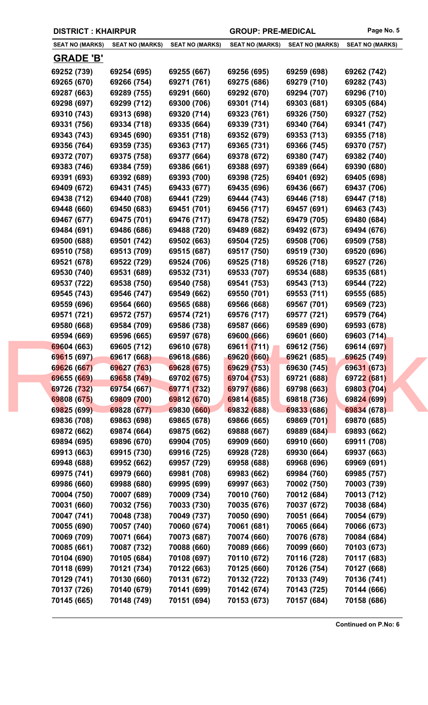| <b>SEAT NO (MARKS)</b> | <b>SEAT NO (MARKS)</b> | <b>SEAT NO (MARKS)</b> | <b>SEAT NO (MARKS)</b> | <b>SEAT NO (MARKS)</b> | <b>SEAT NO (MARKS)</b> |
|------------------------|------------------------|------------------------|------------------------|------------------------|------------------------|
|                        |                        |                        |                        |                        |                        |
| <b>GRADE 'B'</b>       |                        |                        |                        |                        |                        |
| 69252 (739)            | 69254 (695)            | 69255 (667)            | 69256 (695)            | 69259 (698)            | 69262 (742)            |
| 69265 (670)            | 69266 (754)            | 69271 (761)            | 69275 (686)            | 69279 (710)            | 69282 (743)            |
| 69287 (663)            | 69289 (755)            | 69291 (660)            | 69292 (670)            | 69294 (707)            | 69296 (710)            |
| 69298 (697)            | 69299 (712)            | 69300 (706)            | 69301 (714)            | 69303 (681)            | 69305 (684)            |
| 69310 (743)            | 69313 (698)            | 69320 (714)            | 69323 (761)            | 69326 (750)            | 69327 (752)            |
| 69331 (756)            | 69334 (718)            | 69335 (664)            | 69339 (731)            | 69340 (764)            | 69341 (747)            |
| 69343 (743)            | 69345 (690)            | 69351 (718)            | 69352 (679)            | 69353 (713)            | 69355 (718)            |
| 69356 (764)            | 69359 (735)            | 69363 (717)            | 69365 (731)            | 69366 (745)            | 69370 (757)            |
| 69372 (707)            | 69375 (758)            | 69377 (664)            | 69378 (672)            | 69380 (747)            | 69382 (740)            |
| 69383 (746)            | 69384 (759)            | 69386 (661)            | 69388 (697)            | 69389 (664)            | 69390 (680)            |
| 69391 (693)            | 69392 (689)            | 69393 (700)            | 69398 (725)            | 69401 (692)            | 69405 (698)            |
| 69409 (672)            | 69431 (745)            | 69433 (677)            | 69435 (696)            | 69436 (667)            | 69437 (706)            |
| 69438 (712)            | 69440 (708)            | 69441 (729)            | 69444 (743)            | 69446 (718)            | 69447 (718)            |
| 69448 (660)            | 69450 (683)            | 69451 (701)            | 69456 (717)            | 69457 (691)            | 69463 (743)            |
| 69467 (677)            | 69475 (701)            | 69476 (717)            | 69478 (752)            | 69479 (705)            | 69480 (684)            |
| 69484 (691)            | 69486 (686)            | 69488 (720)            | 69489 (682)            | 69492 (673)            | 69494 (676)            |
| 69500 (688)            | 69501 (742)            | 69502 (663)            | 69504 (725)            | 69508 (706)            | 69509 (758)            |
| 69510 (758)            | 69513 (709)            | 69515 (687)            | 69517 (750)            | 69519 (730)            | 69520 (696)            |
| 69521 (678)            | 69522 (729)            | 69524 (706)            | 69525 (718)            | 69526 (718)            | 69527 (726)            |
| 69530 (740)            | 69531 (689)            | 69532 (731)            | 69533 (707)            | 69534 (688)            | 69535 (681)            |
| 69537 (722)            | 69538 (750)            | 69540 (758)            | 69541 (753)            | 69543 (713)            | 69544 (722)            |
| 69545 (743)            | 69546 (747)            | 69549 (662)            | 69550 (701)            | 69553 (711)            | 69555 (685)            |
| 69559 (696)            | 69564 (660)            | 69565 (688)            | 69566 (668)            | 69567 (701)            | 69569 (723)            |
| 69571 (721)            | 69572 (757)            | 69574 (721)            | 69576 (717)            | 69577 (721)            | 69579 (764)            |
| 69580 (668)            | 69584 (709)            | 69586 (738)            | 69587 (666)            | 69589 (690)            | 69593 (678)            |
| 69594 (669)            | 69596 (665)            | 69597 (678)            | 69600 (666)            | 69601 (660)            | 69603 (714)            |
| 69604 (663)            | 69605 (712)            | 69610 (678)            | 69611 (711)            | 69612 (756)            | 69614 (697)            |
| 69615 (697)            | 69617 (668)            | 69618 (686)            | 69620 (660)            | 69621 (685)            | 69625 (749)            |
| 69626 (667)            | 69627 (763)            | 69628 (675)            | 69629 (753)            | 69630 (745)            | 69631 (673)            |
| 69655 (669)            | 69658 (749)            | 69702 (675)            | 69704 (753)            | 69721 (688)            | 69722 (681)            |
| 69726 (732)            | 69754 (667)            | 69771 (732)            | 69797 (686)            | 69798 (663)            | 69803 (704)            |
| 69808 (675)            | 69809 (700)            | 69812 (670)            | 69814 (685)            | 69818 (736)            | 69824 (699)            |
| 69825 (699)            | 69828 (677)            | 69830 (660)            | 69832 (688)            | 69833 (686)            | 69834 (678)            |
| 69836 (708)            | 69863 (698)            | 69865 (678)            | 69866 (665)            | 69869 (701)            | 69870 (685)            |
| 69872 (662)            | 69874 (664)            | 69875 (662)            | 69888 (667)            | 69889 (684)            | 69893 (662)            |
| 69894 (695)            | 69896 (670)            | 69904 (705)            | 69909 (660)            | 69910 (660)            | 69911 (708)            |
| 69913 (663)            | 69915 (730)            | 69916 (725)            | 69928 (728)            | 69930 (664)            | 69937 (663)            |
| 69948 (688)            | 69952 (662)            | 69957 (729)            | 69958 (688)            | 69968 (696)            | 69969 (691)            |
| 69975 (741)            | 69979 (660)            | 69981 (708)            | 69983 (662)            | 69984 (760)            | 69985 (757)            |
| 69986 (660)            | 69988 (680)            | 69995 (699)            | 69997 (663)            | 70002 (750)            | 70003 (739)            |
| 70004 (750)            | 70007 (689)            | 70009 (734)            | 70010 (760)            | 70012 (684)            | 70013 (712)            |
| 70031 (660)            | 70032 (756)            | 70033 (730)            | 70035 (676)            | 70037 (672)            | 70038 (684)            |
| 70047 (741)            | 70048 (738)            | 70049 (737)            | 70050 (690)            | 70051 (664)            | 70054 (679)            |
| 70055 (690)            | 70057 (740)            | 70060 (674)            | 70061 (681)            | 70065 (664)            | 70066 (673)            |
| 70069 (709)            | 70071 (664)            | 70073 (687)            | 70074 (660)            | 70076 (678)            | 70084 (684)            |
| 70085 (661)            | 70087 (732)            | 70088 (660)            | 70089 (666)            | 70099 (660)            | 70103 (673)            |
| 70104 (690)            | 70105 (684)            | 70108 (697)            | 70110 (672)            | 70116 (728)            | 70117 (683)            |
| 70118 (699)            | 70121 (734)            | 70122 (663)            | 70125 (660)            | 70126 (754)            | 70127 (668)            |
| 70129 (741)            | 70130 (660)            | 70131 (672)            | 70132 (722)            | 70133 (749)            | 70136 (741)            |
|                        |                        |                        |                        |                        |                        |
| 70137 (726)            | 70140 (679)            | 70141 (699)            | 70142 (674)            | 70143 (725)            | 70144 (666)            |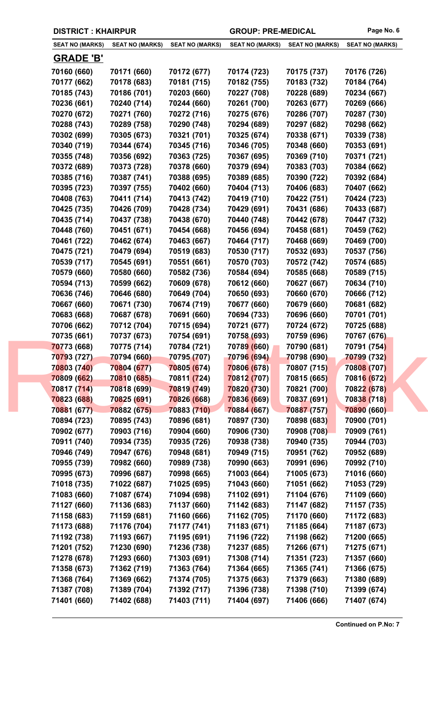|  | <b>DISTRICT: KHAIRPUR</b> |
|--|---------------------------|
|--|---------------------------|

| <b>SEAT NO (MARKS)</b> | <b>SEAT NO (MARKS)</b> | <b>SEAT NO (MARKS)</b> | <b>SEAT NO (MARKS)</b> | <b>SEAT NO (MARKS)</b> | <b>SEAT NO (MARKS)</b> |
|------------------------|------------------------|------------------------|------------------------|------------------------|------------------------|
| <b>GRADE 'B'</b>       |                        |                        |                        |                        |                        |
|                        |                        |                        |                        |                        |                        |
| 70160 (660)            | 70171 (660)            | 70172 (677)            | 70174 (723)            | 70175 (737)            | 70176 (726)            |
| 70177 (662)            | 70178 (683)            | 70181 (715)            | 70182 (755)            | 70183 (732)            | 70184 (764)            |
| 70185 (743)            | 70186 (701)            | 70203 (660)            | 70227 (708)            | 70228 (689)            | 70234 (667)            |
| 70236 (661)            | 70240 (714)            | 70244 (660)            | 70261 (700)            | 70263 (677)            | 70269 (666)            |
| 70270 (672)            | 70271 (760)            | 70272 (716)            | 70275 (676)            | 70286 (707)            | 70287 (730)            |
| 70288 (743)            | 70289 (758)            | 70290 (748)            | 70294 (689)            | 70297 (682)            | 70298 (662)            |
| 70302 (699)            | 70305 (673)            | 70321 (701)            | 70325 (674)            | 70338 (671)            | 70339 (738)            |
| 70340 (719)            | 70344 (674)            | 70345 (716)            | 70346 (705)            | 70348 (660)            | 70353 (691)            |
| 70355 (748)            | 70356 (692)            | 70363 (725)            | 70367 (695)            | 70369 (710)            | 70371 (721)            |
| 70372 (689)            | 70373 (728)            | 70378 (660)            | 70379 (694)            | 70383 (703)            | 70384 (662)            |
| 70385 (716)            | 70387 (741)            | 70388 (695)            | 70389 (685)            | 70390 (722)            | 70392 (684)            |
| 70395 (723)            | 70397 (755)            | 70402 (660)            | 70404 (713)            | 70406 (683)            | 70407 (662)            |
| 70408 (763)            | 70411 (714)            | 70413 (742)            | 70419 (710)            | 70422 (751)            | 70424 (723)            |
| 70425 (735)            | 70426 (709)            | 70428 (734)            | 70429 (691)            | 70431 (686)            | 70433 (687)            |
| 70435 (714)            | 70437 (738)            | 70438 (670)            | 70440 (748)            | 70442 (678)            | 70447 (732)            |
| 70448 (760)            | 70451 (671)            | 70454 (668)            | 70456 (694)            | 70458 (681)            | 70459 (762)            |
| 70461 (722)            | 70462 (674)            | 70463 (667)            | 70464 (717)            | 70468 (669)            | 70469 (700)            |
| 70475 (721)            | 70479 (694)            | 70519 (683)            | 70530 (717)            | 70532 (693)            | 70537 (756)            |
| 70539 (717)            | 70545 (691)            | 70551 (661)            | 70570 (703)            | 70572 (742)            | 70574 (685)            |
| 70579 (660)            | 70580 (660)            | 70582 (736)            | 70584 (694)            | 70585 (668)            | 70589 (715)            |
| 70594 (713)            | 70599 (662)            | 70609 (678)            | 70612 (660)            | 70627 (667)            | 70634 (710)            |
| 70636 (746)            | 70646 (680)            | 70649 (704)            | 70650 (693)            | 70660 (670)            | 70666 (712)            |
| 70667 (660)            | 70671 (730)            | 70674 (719)            | 70677 (660)            | 70679 (660)            | 70681 (682)            |
| 70683 (668)            | 70687 (678)            | 70691 (660)            | 70694 (733)            | 70696 (660)            | 70701 (701)            |
| 70706 (662)            | 70712 (704)            | 70715 (694)            | 70721 (677)            | 70724 (672)            | 70725 (688)            |
| 70735 (661)            | 70737 (673)            | 70754 (691)            | 70758 (693)            | 70759 (696)            | 70767 (676)            |
| 70773 (668)            | 70775 (714)            | 70784 (721)            | 70789 (660)            | 70790 (681)            | 70791 (754)            |
| 70793 (727)            | 70794 (660)            | 70795 (707)            | 70796 (694)            | 70798 (690)            | 70799 (732)            |
| 70803 (740)            | 70804 (677)            | 70805 (674)            | 70806 (678)            | 70807 (715)            | 70808 (707)            |
| 70809 (662)            | 70810 (685)            | 70811 (724)            | 70812 (707)            | 70815 (665)            | 70816 (672)            |
| 70817 (714)            | 70818 (699)            | 70819 (749)            | 70820 (730)            | 70821 (700)            | 70822 (678)            |
| 70823 (688)            | 70825 (691)            | 70826 (668)            | 70836 (669)            | 70837 (691)            | 70838 (718)            |
| 70881 (677)            | 70882 (675)            | 70883 (710)            | 70884 (667)            | 70887 (757)            | 70890 (660)            |
| 70894 (723)            | 70895 (743)            | 70896 (681)            | 70897 (730)            | 70898 (683)            | 70900 (701)            |
| 70902 (677)            | 70903 (716)            | 70904 (660)            | 70906 (730)            | 70908 (708)            | 70909 (761)            |
| 70911 (740)            | 70934 (735)            | 70935 (726)            | 70938 (738)            | 70940 (735)            | 70944 (703)            |
| 70946 (749)            | 70947 (676)            | 70948 (681)            | 70949 (715)            | 70951 (762)            | 70952 (689)            |
| 70955 (739)            | 70982 (660)            | 70989 (738)            | 70990 (663)            | 70991 (696)            | 70992 (710)            |
| 70995 (673)            | 70996 (687)            | 70998 (665)            | 71003 (664)            | 71005 (673)            | 71016 (660)            |
| 71018 (735)            | 71022 (687)            | 71025 (695)            | 71043 (660)            | 71051 (662)            | 71053 (729)            |
| 71083 (660)            | 71087 (674)            | 71094 (698)            | 71102 (691)            | 71104 (676)            | 71109 (660)            |
| 71127 (660)            | 71136 (683)            | 71137 (660)            | 71142 (683)            | 71147 (682)            | 71157 (735)            |
| 71158 (683)            | 71159 (681)            | 71160 (666)            | 71162 (705)            | 71170 (660)            | 71172 (683)            |
| 71173 (688)            | 71176 (704)            | 71177 (741)            | 71183 (671)            | 71185 (664)            | 71187 (673)            |
| 71192 (738)            | 71193 (667)            | 71195 (691)            | 71196 (722)            | 71198 (662)            | 71200 (665)            |
| 71201 (752)            | 71230 (690)            | 71236 (738)            | 71237 (685)            | 71266 (671)            | 71275 (671)            |
| 71278 (678)            | 71293 (660)            | 71303 (691)            | 71308 (714)            | 71351 (723)            | 71357 (660)            |
| 71358 (673)            | 71362 (719)            | 71363 (764)            | 71364 (665)            | 71365 (741)            | 71366 (675)            |
| 71368 (764)            | 71369 (662)            | 71374 (705)            | 71375 (663)            | 71379 (663)            | 71380 (689)            |
| 71387 (708)            | 71389 (704)            | 71392 (717)            | 71396 (738)            | 71398 (710)            | 71399 (674)            |
| 71401 (660)            | 71402 (688)            | 71403 (711)            | 71404 (697)            | 71406 (666)            | 71407 (674)            |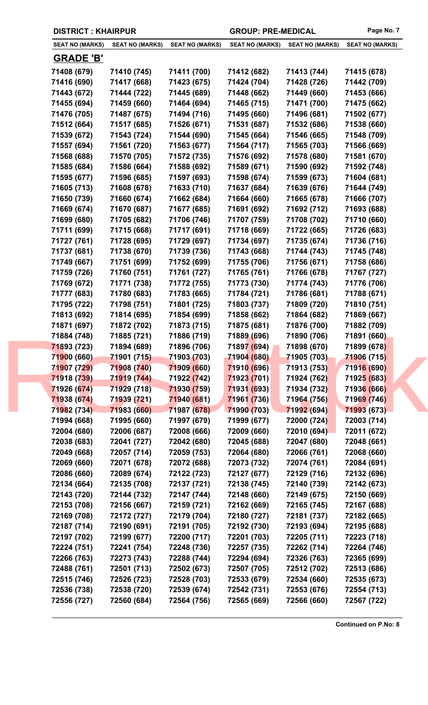| <b>SEAT NO (MARKS)</b> | <b>SEAT NO (MARKS)</b> | <b>SEAT NO (MARKS)</b> | <b>SEAT NO (MARKS)</b> | <b>SEAT NO (MARKS)</b> | <b>SEAT NO (MARKS)</b>     |
|------------------------|------------------------|------------------------|------------------------|------------------------|----------------------------|
| <b>GRADE 'B'</b>       |                        |                        |                        |                        |                            |
| 71408 (679)            | 71410 (745)            | 71411 (700)            | 71412 (682)            | 71413 (744)            | 71415 (678)                |
| 71416 (690)            | 71417 (668)            | 71423 (675)            | 71424 (704)            | 71428 (726)            | 71442 (709)                |
| 71443 (672)            | 71444 (722)            | 71445 (689)            | 71448 (662)            | 71449 (660)            | 71453 (666)                |
| 71455 (694)            | 71459 (660)            | 71464 (694)            | 71465 (715)            | 71471 (700)            | 71475 (662)                |
| 71476 (705)            | 71487 (675)            | 71494 (716)            | 71495 (660)            | 71496 (681)            | 71502 (677)                |
| 71512 (664)            | 71517 (685)            | 71526 (671)            | 71531 (687)            | 71532 (686)            | 71538 (660)                |
| 71539 (672)            | 71543 (724)            | 71544 (690)            | 71545 (664)            | 71546 (665)            | 71548 (709)                |
| 71557 (694)            | 71561 (720)            | 71563 (677)            | 71564 (717)            | 71565 (703)            | 71566 (669)                |
| 71568 (688)            | 71570 (705)            | 71572 (735)            | 71576 (692)            | 71578 (680)            | 71581 (670)                |
| 71585 (684)            | 71586 (664)            | 71588 (692)            | 71589 (671)            | 71590 (692)            | 71592 (748)                |
| 71595 (677)            | 71596 (685)            | 71597 (693)            | 71598 (674)            | 71599 (673)            | 71604 (681)                |
| 71605 (713)            | 71608 (678)            | 71633 (710)            | 71637 (684)            | 71639 (676)            | 71644 (749)                |
| 71650 (739)            | 71660 (674)            | 71662 (684)            | 71664 (660)            | 71665 (678)            | 71666 (707)                |
| 71669 (674)            | 71670 (687)            | 71677 (685)            | 71691 (692)            | 71692 (712)            | 71693 (688)                |
| 71699 (680)            | 71705 (682)            | 71706 (746)            | 71707 (759)            | 71708 (702)            | 71710 (660)                |
| 71711 (699)            | 71715 (668)            | 71717 (691)            | 71718 (669)            | 71722 (665)            | 71726 (683)                |
| 71727 (761)            | 71728 (695)            | 71729 (697)            | 71734 (697)            | 71735 (674)            | 71736 (716)                |
| 71737 (681)            | 71738 (670)            | 71739 (736)            | 71743 (668)            | 71744 (743)            | 71745 (748)                |
| 71749 (667)            | 71751 (699)            | 71752 (699)            | 71755 (706)            | 71756 (671)            | 71758 (686)                |
| 71759 (726)            | 71760 (751)            | 71761 (727)            | 71765 (761)            | 71766 (678)            | 71767 (727)                |
| 71769 (672)            | 71771 (738)            | 71772 (755)            | 71773 (730)            | 71774 (743)            | 71776 (706)                |
| 71777 (683)            | 71780 (683)            | 71783 (665)            | 71784 (721)            | 71786 (681)            | 71788 (671)                |
| 71795 (722)            | 71798 (751)            | 71801 (725)            | 71803 (737)            | 71809 (720)            | 71810 (751)                |
| 71813 (692)            | 71814 (695)            | 71854 (699)            | 71858 (662)            | 71864 (682)            | 71869 (667)                |
| 71871 (697)            | 71872 (702)            | 71873 (715)            | 71875 (681)            | 71876 (700)            | 71882 (709)                |
| 71884 (748)            | 71885 (721)            | 71886 (719)            | 71889 (696)            | 71890 (706)            | 71891 (660)                |
| 71893 (723)            | 71894 (689)            | 71896 (706)            | 71897 (694)            | 71898 (670)            | 71899 (678)                |
| 71900 (660)            | 71901 (715)            | 71903 (703)            | 71904 (680)            | 71905 (703)            | 71906 (715)                |
| 71907 (729)            | 71908 (740)            | 71909 (660)            | 71910 (696)            | 71913 (753)            | 71916 (690)                |
| 71918 (739)            | 71919 (744)            | 71922 (742)            | 71923 (701)            | 71924 (762)            | 7192 <mark>5 (6</mark> 83) |
| 71926 (674)            | 71929 (718)            | 71930 (759)            | 71931 (693)            | 71934 (732)            | 71936 (666)                |
| 71938 (674)            | 71939 (721)            | 71940 (681)            | 71961 (736)            | 71964 (756)            | 71969 (746)                |
| 71982 (734)            | 71983 (660)            | 71987 (678)            | 71990 (703)            | 71992 (694)            | 71993 (673)                |
| 71994 (668)            | 71995 (660)            | 71997 (679)            | 71999 (677)            | 72000 (724)            | 72003 (714)                |
| 72004 (680)            | 72006 (687)            | 72008 (666)            | 72009 (660)            | 72010 (694)            | 72011 (672)                |
| 72038 (683)            | 72041 (727)            | 72042 (680)            | 72045 (688)            | 72047 (680)            | 72048 (661)                |
| 72049 (668)            | 72057 (714)            | 72059 (753)            | 72064 (680)            | 72066 (761)            | 72068 (660)                |
| 72069 (660)            | 72071 (678)            | 72072 (688)            | 72073 (732)            | 72074 (761)            | 72084 (691)                |
| 72086 (660)            | 72089 (674)            | 72122 (723)            | 72127 (677)            | 72129 (716)            | 72132 (696)                |
| 72134 (664)            | 72135 (708)            | 72137 (721)            | 72138 (745)            | 72140 (739)            | 72142 (673)                |
| 72143 (720)            | 72144 (732)            | 72147 (744)            | 72148 (660)            | 72149 (675)            | 72150 (669)                |
| 72153 (708)            | 72156 (667)            | 72159 (721)            | 72162 (669)            | 72165 (745)            | 72167 (688)                |
| 72169 (708)            | 72172 (727)            | 72179 (704)            | 72180 (727)            | 72181 (737)            | 72182 (665)                |
| 72187 (714)            | 72190 (691)            | 72191 (705)            | 72192 (730)            | 72193 (694)            | 72195 (688)                |
| 72197 (702)            | 72199 (677)            | 72200 (717)            | 72201 (703)            | 72205 (711)            | 72223 (718)                |
| 72224 (751)            | 72241 (754)            | 72248 (736)            | 72257 (735)            | 72262 (714)            | 72264 (746)                |
| 72266 (763)            | 72273 (743)            | 72288 (744)            | 72294 (694)            | 72326 (763)            | 72365 (699)                |
| 72488 (761)            | 72501 (713)            | 72502 (673)            | 72507 (705)            | 72512 (702)            | 72513 (686)                |
| 72515 (746)            | 72526 (723)            | 72528 (703)            | 72533 (679)            | 72534 (660)            | 72535 (673)                |
| 72536 (738)            | 72538 (720)            | 72539 (674)            | 72542 (731)            | 72553 (676)            | 72554 (713)                |
| 72556 (727)            | 72560 (684)            | 72564 (756)            | 72565 (669)            | 72566 (660)            | 72567 (722)                |
|                        |                        |                        |                        |                        |                            |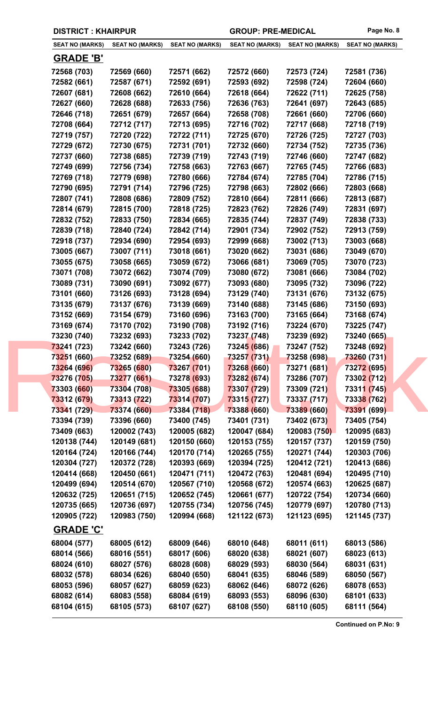|  | <b>SEAT NO (MARKS)</b> | <b>SEAT NO (MARKS)</b> | <b>SEAT NO (MARKS)</b> | <b>SEAT NO (MARKS)</b> | <b>SEAT NO (MARKS)</b> | <b>SEAT NO (MARKS)</b> |
|--|------------------------|------------------------|------------------------|------------------------|------------------------|------------------------|
|  | <b>GRADE 'B'</b>       |                        |                        |                        |                        |                        |
|  | 72568 (703)            | 72569 (660)            | 72571 (662)            | 72572 (660)            | 72573 (724)            | 72581 (736)            |
|  | 72582 (661)            | 72587 (671)            | 72592 (691)            | 72593 (692)            | 72598 (724)            | 72604 (660)            |
|  | 72607 (681)            | 72608 (662)            | 72610 (664)            | 72618 (664)            | 72622 (711)            | 72625 (758)            |
|  | 72627 (660)            | 72628 (688)            | 72633 (756)            | 72636 (763)            | 72641 (697)            | 72643 (685)            |
|  | 72646 (718)            | 72651 (679)            | 72657 (664)            | 72658 (708)            | 72661 (660)            | 72706 (660)            |
|  | 72708 (664)            | 72712 (717)            | 72713 (695)            | 72716 (702)            | 72717 (668)            | 72718 (719)            |
|  | 72719 (757)            | 72720 (722)            | 72722 (711)            | 72725 (670)            | 72726 (725)            | 72727 (703)            |
|  | 72729 (672)            | 72730 (675)            | 72731 (701)            | 72732 (660)            | 72734 (752)            | 72735 (736)            |
|  | 72737 (660)            | 72738 (685)            | 72739 (719)            | 72743 (719)            | 72746 (660)            | 72747 (682)            |
|  | 72749 (699)            | 72756 (734)            | 72758 (663)            | 72763 (667)            | 72765 (745)            | 72766 (683)            |
|  | 72769 (718)            | 72779 (698)            | 72780 (666)            | 72784 (674)            | 72785 (704)            | 72786 (715)            |
|  | 72790 (695)            | 72791 (714)            | 72796 (725)            | 72798 (663)            | 72802 (666)            | 72803 (668)            |
|  | 72807 (741)            | 72808 (686)            | 72809 (752)            | 72810 (664)            | 72811 (666)            | 72813 (687)            |
|  | 72814 (679)            | 72815 (700)            | 72818 (725)            | 72823 (762)            | 72826 (749)            | 72831 (697)            |
|  | 72832 (752)            | 72833 (750)            | 72834 (665)            | 72835 (744)            | 72837 (749)            | 72838 (733)            |
|  | 72839 (718)            | 72840 (724)            | 72842 (714)            | 72901 (734)            | 72902 (752)            | 72913 (759)            |
|  | 72918 (737)            | 72934 (690)            | 72954 (693)            | 72999 (668)            | 73002 (713)            | 73003 (668)            |
|  | 73005 (667)            | 73007 (711)            | 73018 (661)            | 73020 (662)            | 73031 (686)            | 73049 (670)            |
|  | 73055 (675)            | 73058 (665)            | 73059 (672)            | 73066 (681)            | 73069 (705)            | 73070 (723)            |
|  | 73071 (708)            | 73072 (662)            | 73074 (709)            | 73080 (672)            | 73081 (666)            | 73084 (702)            |
|  | 73089 (731)            | 73090 (691)            | 73092 (677)            | 73093 (680)            | 73095 (732)            | 73096 (722)            |
|  | 73101 (660)            | 73126 (693)            | 73128 (694)            | 73129 (740)            | 73131 (676)            | 73132 (675)            |
|  | 73135 (679)            | 73137 (676)            | 73139 (669)            | 73140 (688)            | 73145 (686)            | 73150 (693)            |
|  | 73152 (669)            | 73154 (679)            | 73160 (696)            | 73163 (700)            | 73165 (664)            | 73168 (674)            |
|  | 73169 (674)            | 73170 (702)            | 73190 (708)            | 73192 (716)            | 73224 (670)            | 73225 (747)            |
|  | 73230 (740)            | 73232 (693)            | 73233 (702)            | 73237 (748)            | 73239 (692)            | 73240 (665)            |
|  | 73241 (723)            | 73242 (660)            | 73243 (726)            | 73245 (686)            | 73247 (752)            | 73248 (692)            |
|  | 73251 (660)            | 73252 (689)            | 73254 (660)            | 73257 (731)            | 73258 (698)            | 73260 (731)            |
|  | 73264 (696)            | 73265 (680)            | 73267 (701)            | 73268 (660)            | 73271 (681)            | 73272 (695)            |
|  | 73276 (705)            | 73277 (661)            | 73278 (693)            | 73282 (674)            | 73286 (707)            | 73302 (712)            |
|  | 73303 (660)            | 73304 (708)            | 73305 (688)            | 73307 (729)            | 73309 (721)            | 73311 (745)            |
|  | 73312 (679)            | 73313 (722)            | 73314 (707)            | 73315 (727)            | 73337 (717)            | 73338 (762)            |
|  | 73341 (729)            | 73374 (660)            | 73384 (718)            | 73388 (660)            | 73389 (660)            | 73391 (699)            |
|  | 73394 (739)            | 73396 (660)            | 73400 (745)            | 73401 (731)            | 73402 (673)            | 73405 (754)            |
|  | 73409 (663)            | 120002 (743)           | 120005 (682)           | 120047 (684)           | 120083 (750)           | 120095 (683)           |
|  | 120138 (744)           | 120149 (681)           | 120150 (660)           | 120153 (755)           | 120157 (737)           | 120159 (750)           |
|  | 120164 (724)           | 120166 (744)           | 120170 (714)           | 120265 (755)           | 120271 (744)           | 120303 (706)           |
|  | 120304 (727)           | 120372 (728)           | 120393 (669)           | 120394 (725)           | 120412 (721)           | 120413 (686)           |
|  | 120414 (668)           | 120450 (661)           | 120471 (711)           | 120472 (763)           | 120481 (694)           | 120495 (710)           |
|  | 120499 (694)           | 120514 (670)           | 120567 (710)           | 120568 (672)           | 120574 (663)           | 120625 (687)           |
|  | 120632 (725)           | 120651 (715)           | 120652 (745)           | 120661 (677)           | 120722 (754)           | 120734 (660)           |
|  | 120735 (665)           | 120736 (697)           | 120755 (734)           | 120756 (745)           | 120779 (697)           | 120780 (713)           |
|  | 120905 (722)           | 120983 (750)           | 120994 (668)           | 121122 (673)           | 121123 (695)           | 121145 (737)           |
|  | <b>GRADE 'C'</b>       |                        |                        |                        |                        |                        |
|  | 68004 (577)            | 68005 (612)            | 68009 (646)            | 68010 (648)            | 68011 (611)            | 68013 (586)            |
|  | 68014 (566)            | 68016 (551)            | 68017 (606)            | 68020 (638)            | 68021 (607)            | 68023 (613)            |
|  | 68024 (610)            | 68027 (576)            | 68028 (608)            | 68029 (593)            | 68030 (564)            | 68031 (631)            |
|  | 68032 (578)            | 68034 (626)            | 68040 (650)            | 68041 (635)            | 68046 (589)            | 68050 (567)            |
|  | 68053 (596)            | 68057 (627)            | 68059 (623)            | 68062 (646)            | 68072 (626)            | 68078 (653)            |
|  | 68082 (614)            | 68083 (558)            | 68084 (619)            | 68093 (553)            | 68096 (630)            | 68101 (633)            |
|  | 68104 (615)            | 68105 (573)            | 68107 (627)            | 68108 (550)            | 68110 (605)            | 68111 (564)            |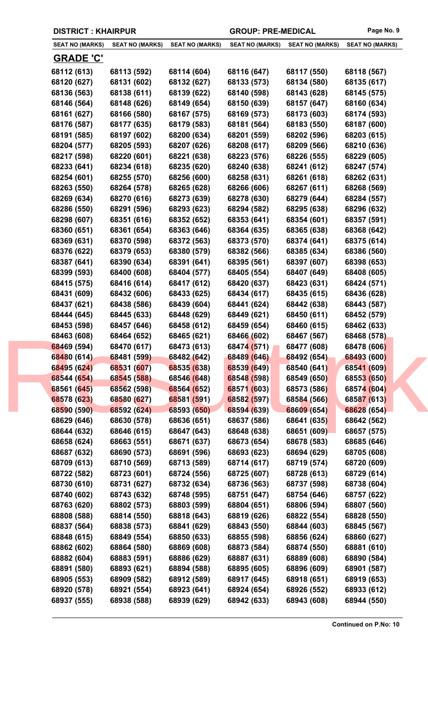|  | <b>DISTRICT: KHAIRPUR</b> |
|--|---------------------------|
|--|---------------------------|

| <b>SEAT NO (MARKS)</b> | <b>SEAT NO (MARKS)</b> | <b>SEAT NO (MARKS)</b> | <b>SEAT NO (MARKS)</b> | <b>SEAT NO (MARKS)</b> | <b>SEAT NO (MARKS)</b> |
|------------------------|------------------------|------------------------|------------------------|------------------------|------------------------|
| <u>GRADE 'C'</u>       |                        |                        |                        |                        |                        |
| 68112 (613)            | 68113 (592)            | 68114 (604)            | 68116 (647)            | 68117 (550)            | 68118 (567)            |
| 68120 (627)            | 68131 (602)            | 68132 (627)            | 68133 (573)            | 68134 (580)            | 68135 (617)            |
| 68136 (563)            | 68138 (611)            | 68139 (622)            | 68140 (598)            | 68143 (628)            | 68145 (575)            |
| 68146 (564)            | 68148 (626)            | 68149 (654)            | 68150 (639)            | 68157 (647)            | 68160 (634)            |
| 68161 (627)            | 68166 (580)            | 68167 (575)            | 68169 (573)            | 68173 (603)            | 68174 (593)            |
| 68176 (587)            | 68177 (635)            | 68179 (583)            | 68181 (564)            | 68183 (550)            | 68187 (600)            |
| 68191 (585)            | 68197 (602)            | 68200 (634)            | 68201 (559)            | 68202 (596)            | 68203 (615)            |
| 68204 (577)            | 68205 (593)            | 68207 (626)            | 68208 (617)            | 68209 (566)            | 68210 (636)            |
| 68217 (598)            | 68220 (601)            | 68221 (638)            | 68223 (576)            | 68226 (555)            | 68229 (605)            |
| 68233 (641)            | 68234 (618)            | 68235 (620)            | 68240 (638)            | 68241 (612)            | 68247 (574)            |
| 68254 (601)            | 68255 (570)            | 68256 (600)            | 68258 (631)            | 68261 (618)            | 68262 (631)            |
| 68263 (550)            | 68264 (578)            | 68265 (628)            | 68266 (606)            | 68267 (611)            | 68268 (569)            |
| 68269 (634)            | 68270 (616)            | 68273 (639)            | 68278 (630)            | 68279 (644)            | 68284 (557)            |
| 68286 (550)            | 68291 (596)            | 68293 (623)            | 68294 (582)            | 68295 (638)            | 68296 (632)            |
| 68298 (607)            | 68351 (616)            | 68352 (652)            | 68353 (641)            | 68354 (601)            | 68357 (591)            |
| 68360 (651)            | 68361 (654)            | 68363 (646)            | 68364 (635)            | 68365 (638)            | 68368 (642)            |
| 68369 (631)            | 68370 (598)            | 68372 (563)            | 68373 (570)            | 68374 (641)            | 68375 (614)            |
| 68376 (622)            | 68379 (653)            | 68380 (579)            | 68382 (566)            | 68385 (634)            | 68386 (560)            |
| 68387 (641)            | 68390 (634)            | 68391 (641)            | 68395 (561)            | 68397 (607)            | 68398 (653)            |
| 68399 (593)            | 68400 (608)            | 68404 (577)            | 68405 (554)            | 68407 (649)            | 68408 (605)            |
| 68415 (575)            | 68416 (614)            | 68417 (612)            | 68420 (637)            | 68423 (631)            | 68424 (571)            |
| 68431 (609)            | 68432 (606)            | 68433 (625)            | 68434 (617)            | 68435 (615)            | 68436 (628)            |
| 68437 (621)            | 68438 (586)            | 68439 (604)            | 68441 (624)            | 68442 (638)            | 68443 (587)            |
| 68444 (645)            | 68445 (633)            | 68448 (629)            | 68449 (621)            | 68450 (611)            | 68452 (579)            |
| 68453 (598)            | 68457 (646)            | 68458 (612)            | 68459 (654)            | 68460 (615)            | 68462 (633)            |
| 68463 (608)            | 68464 (652)            | 68465 (621)            | 68466 (602)            | 68467 (567)            | 68468 (578)            |
| 68469 (594)            | 68470 (617)            | 68473 (613)            | 68474 (571)            | 68477 (608)            | 68478 (606)            |
| 68480 (614)            | 68481 (599)            | 68482 (642)            | 68489 (646)            | 68492 (654)            | 68493 (600)            |
| 68495 (624)            | 68531 (607)            | 68535 (638)            | 68539 (649)            | 68540 (641)            | 68541 (609)            |
| 68544 (654)            | 68545 (588)            | 68546 (648)            | 68548 (598)            | 68549 (650)            | 68553 (650)            |
| 68561 (645)            | 68562 (598)            | 68564 (652)            | 68571 (603)            | 68573 (586)            | 68574 (604)            |
| 68578 (623)            | 68580 (627)            | 68581 (591)            | 68582 (597)            | 68584 (566)            | 68587 (613)            |
| 68590 (590)            | 68592 (624)            | 68593 (650)            | 68594 (639)            | 68609 (654)            | 68628 (654)            |
| 68629 (646)            | 68630 (578)            | 68636 (651)            | 68637 (586)            | 68641 (635)            | 68642 (562)            |
| 68644 (632)            | 68646 (615)            | 68647 (643)            | 68648 (638)            | 68651 (609)            | 68657 (575)            |
| 68658 (624)            | 68663 (551)            | 68671 (637)            | 68673 (654)            | 68678 (583)            | 68685 (646)            |
| 68687 (632)            | 68690 (573)            | 68691 (596)            | 68693 (623)            | 68694 (629)            | 68705 (608)            |
| 68709 (613)            | 68710 (569)            | 68713 (589)            | 68714 (617)            | 68719 (574)            | 68720 (609)            |
| 68722 (582)            | 68723 (601)            | 68724 (556)            | 68725 (607)            | 68728 (613)            | 68729 (614)            |
| 68730 (610)            | 68731 (627)            | 68732 (634)            | 68736 (563)            | 68737 (598)            | 68738 (604)            |
| 68740 (602)            | 68743 (632)            | 68748 (595)            | 68751 (647)            | 68754 (646)            | 68757 (622)            |
| 68763 (620)            | 68802 (573)            | 68803 (599)            | 68804 (651)            | 68806 (594)            | 68807 (560)            |
| 68808 (588)            | 68814 (550)            | 68818 (643)            | 68819 (626)            | 68822 (554)            | 68828 (550)            |
| 68837 (564)            | 68838 (573)            | 68841 (629)            | 68843 (550)            | 68844 (603)            | 68845 (567)            |
| 68848 (615)            | 68849 (554)            | 68850 (633)            | 68855 (598)            | 68856 (624)            | 68860 (627)            |
| 68862 (602)            | 68864 (580)            | 68869 (608)            | 68873 (584)            | 68874 (550)            | 68881 (610)            |
| 68882 (604)            | 68883 (591)            | 68886 (629)            | 68887 (631)            | 68889 (608)            | 68890 (584)            |
| 68891 (580)            | 68893 (621)            | 68894 (588)            | 68895 (605)            | 68896 (609)            | 68901 (587)            |
| 68905 (553)            | 68909 (582)            | 68912 (589)            | 68917 (645)            | 68918 (651)            | 68919 (653)            |
| 68920 (578)            | 68921 (554)            | 68923 (641)            | 68924 (654)            | 68926 (552)            | 68933 (612)            |
| 68937 (555)            | 68938 (588)            | 68939 (629)            | 68942 (633)            | 68943 (608)            | 68944 (550)            |
|                        |                        |                        |                        |                        |                        |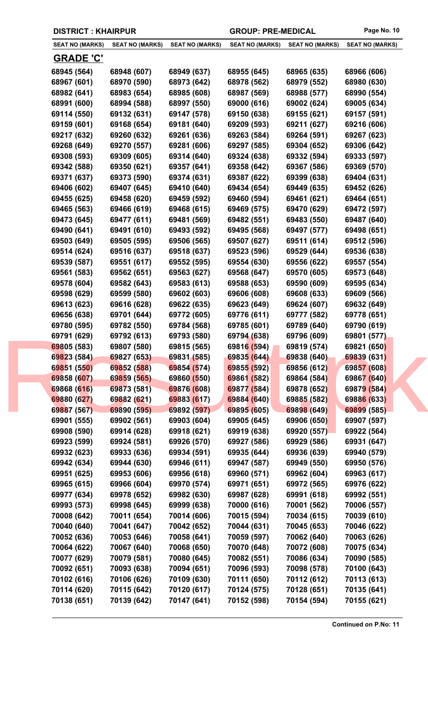|  |  | <b>DISTRICT: KHAIRPUR</b> |
|--|--|---------------------------|
|--|--|---------------------------|

| <b>SEAT NO (MARKS)</b>     | <b>SEAT NO (MARKS)</b>     | <b>SEAT NO (MARKS)</b>     | <b>SEAT NO (MARKS)</b>     | <b>SEAT NO (MARKS)</b>     | <b>SEAT NO (MARKS)</b>     |
|----------------------------|----------------------------|----------------------------|----------------------------|----------------------------|----------------------------|
| <b>GRADE 'C'</b>           |                            |                            |                            |                            |                            |
|                            |                            |                            |                            |                            |                            |
| 68945 (564)<br>68967 (601) | 68948 (607)<br>68970 (590) | 68949 (637)<br>68973 (642) | 68955 (645)<br>68978 (562) | 68965 (635)<br>68979 (552) | 68966 (606)<br>68980 (630) |
| 68982 (641)                | 68983 (654)                | 68985 (608)                | 68987 (569)                | 68988 (577)                | 68990 (554)                |
| 68991 (600)                | 68994 (588)                | 68997 (550)                | 69000 (616)                | 69002 (624)                | 69005 (634)                |
| 69114 (550)                | 69132 (631)                | 69147 (578)                | 69150 (638)                | 69155 (621)                | 69157 (591)                |
| 69159 (601)                | 69168 (654)                | 69181 (640)                | 69209 (593)                | 69211 (627)                | 69216 (606)                |
| 69217 (632)                | 69260 (632)                | 69261 (636)                | 69263 (584)                | 69264 (591)                |                            |
|                            | 69270 (557)                | 69281 (606)                |                            | 69304 (652)                | 69267 (623)                |
| 69268 (649)                |                            |                            | 69297 (585)                |                            | 69306 (642)                |
| 69308 (593)                | 69309 (605)                | 69314 (640)                | 69324 (638)                | 69332 (594)                | 69333 (597)                |
| 69342 (588)                | 69350 (621)                | 69357 (641)                | 69358 (642)                | 69367 (586)                | 69369 (570)                |
| 69371 (637)                | 69373 (590)                | 69374 (631)                | 69387 (622)                | 69399 (638)                | 69404 (631)                |
| 69406 (602)                | 69407 (645)                | 69410 (640)                | 69434 (654)                | 69449 (635)                | 69452 (626)                |
| 69455 (625)                | 69458 (620)                | 69459 (592)                | 69460 (594)                | 69461 (621)                | 69464 (651)                |
| 69465 (563)                | 69466 (619)                | 69468 (615)                | 69469 (575)                | 69470 (629)                | 69472 (597)                |
| 69473 (645)                | 69477 (611)                | 69481 (569)                | 69482 (551)                | 69483 (550)                | 69487 (640)                |
| 69490 (641)                | 69491 (610)                | 69493 (592)                | 69495 (568)                | 69497 (577)                | 69498 (651)                |
| 69503 (649)                | 69505 (595)                | 69506 (565)                | 69507 (627)                | 69511 (614)                | 69512 (596)                |
| 69514 (624)                | 69516 (637)                | 69518 (637)                | 69523 (596)                | 69529 (644)                | 69536 (638)                |
| 69539 (587)                | 69551 (617)                | 69552 (595)                | 69554 (630)                | 69556 (622)                | 69557 (554)                |
| 69561 (583)                | 69562 (651)                | 69563 (627)                | 69568 (647)                | 69570 (605)                | 69573 (648)                |
| 69578 (604)                | 69582 (643)                | 69583 (613)                | 69588 (653)                | 69590 (609)                | 69595 (634)                |
| 69598 (629)                | 69599 (580)                | 69602 (603)                | 69606 (608)                | 69608 (633)                | 69609 (566)                |
| 69613 (623)                | 69616 (628)                | 69622 (635)                | 69623 (649)                | 69624 (607)                | 69632 (649)                |
| 69656 (638)                | 69701 (644)                | 69772 (605)                | 69776 (611)                | 69777 (582)                | 69778 (651)                |
| 69780 (595)                | 69782 (550)                | 69784 (568)                | 69785 (601)                | 69789 (640)                | 69790 (619)                |
| 69791 (629)                | 69792 (613)                | 69793 (580)                | 69794 (638)                | 69796 (609)                | 69801 (577)                |
| 69805 (583)                | 69807 (580)                | 69815 (565)                | 69816 (594)                | 69819 (574)                | 69821 (650)                |
| 69823 (584)                | 69827 (653)                | 69831 (585)                | 69835 (644)                | 69838 (640)                | 69839 (631)                |
| 69851 (550)                | 69852 (588)                | 69854 (574)                | 69855 (592)                | 69856 (612)                | 69857 (608)                |
| 69858 (607)                | 69859 (565)                | 69860 (550)                | 69861 (582)                | 69864 (584)                | 69867 (640)                |
| 69868 (616)                | 69873 (581)                | 69876 (608)                | 69877 (584)                | 69878 (652)                | 69879 (584)                |
| 69880 (627)                | 69882 (621)                | 69883 (617)                | 69884 (640)                | 69885 (582)                | 69886 (633)                |
| 69887 (567)                | 69890 (595)                | 69892 (597)                | 69895 (605)                | 69898 (649)                | 69899 (585)                |
| 69901 (555)                | 69902 (561)                | 69903 (604)                | 69905 (645)                | 69906 (650)                | 69907 (597)                |
| 69908 (590)                | 69914 (628)                | 69918 (621)                | 69919 (638)                | 69920 (557)                | 69922 (564)                |
| 69923 (599)                | 69924 (581)                | 69926 (570)                | 69927 (586)                | 69929 (586)                | 69931 (647)                |
| 69932 (623)                | 69933 (636)                | 69934 (591)                | 69935 (644)                | 69936 (639)                | 69940 (579)                |
| 69942 (634)                | 69944 (630)                | 69946 (611)                | 69947 (587)                | 69949 (550)                | 69950 (576)                |
| 69951 (625)                | 69953 (606)                | 69956 (618)                | 69960 (571)                | 69962 (604)                | 69963 (617)                |
| 69965 (615)                | 69966 (604)                | 69970 (574)                | 69971 (651)                | 69972 (565)                | 69976 (622)                |
| 69977 (634)                | 69978 (652)                | 69982 (630)                | 69987 (628)                | 69991 (618)                | 69992 (551)                |
| 69993 (573)                | 69998 (645)                | 69999 (638)                | 70000 (616)                | 70001 (562)                | 70006 (557)                |
| 70008 (642)                | 70011 (654)                | 70014 (606)                | 70015 (594)                | 70034 (615)                | 70039 (610)                |
| 70040 (640)                | 70041 (647)                | 70042 (652)                | 70044 (631)                | 70045 (653)                | 70046 (622)                |
| 70052 (636)                | 70053 (646)                | 70058 (641)                | 70059 (597)                | 70062 (640)                | 70063 (626)                |
| 70064 (622)                | 70067 (640)                | 70068 (650)                | 70070 (648)                | 70072 (608)                | 70075 (634)                |
| 70077 (629)                | 70079 (581)                | 70080 (645)                | 70082 (551)                | 70086 (634)                | 70090 (585)                |
| 70092 (651)                | 70093 (638)                | 70094 (651)                | 70096 (593)                | 70098 (578)                | 70100 (643)                |
| 70102 (616)                | 70106 (626)                | 70109 (630)                | 70111 (650)                | 70112 (612)                | 70113 (613)                |
| 70114 (620)                | 70115 (642)                | 70120 (617)                | 70124 (575)                | 70128 (651)                | 70135 (641)                |
| 70138 (651)                | 70139 (642)                | 70147 (641)                | 70152 (598)                | 70154 (594)                | 70155 (621)                |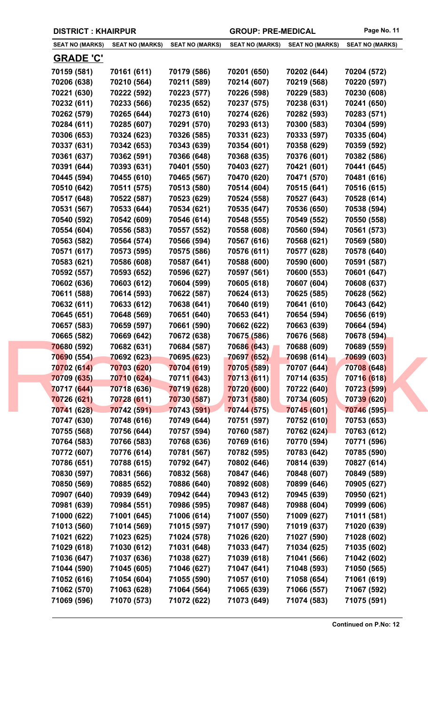| <b>SEAT NO (MARKS)</b> | <b>SEAT NO (MARKS)</b> | <b>SEAT NO (MARKS)</b> | <b>SEAT NO (MARKS)</b> | <b>SEAT NO (MARKS)</b> | <b>SEAT NO (MARKS)</b> |
|------------------------|------------------------|------------------------|------------------------|------------------------|------------------------|
| <b>GRADE 'C'</b>       |                        |                        |                        |                        |                        |
| 70159 (581)            | 70161 (611)            | 70179 (586)            | 70201 (650)            | 70202 (644)            | 70204 (572)            |
| 70206 (638)            | 70210 (564)            | 70211 (589)            | 70214 (607)            | 70219 (568)            | 70220 (597)            |
| 70221 (630)            | 70222 (592)            | 70223 (577)            | 70226 (598)            | 70229 (583)            | 70230 (608)            |
| 70232 (611)            | 70233 (566)            | 70235 (652)            | 70237 (575)            | 70238 (631)            | 70241 (650)            |
| 70262 (579)            | 70265 (644)            | 70273 (610)            | 70274 (626)            | 70282 (593)            | 70283 (571)            |
| 70284 (611)            | 70285 (607)            | 70291 (570)            | 70293 (613)            | 70300 (583)            | 70304 (599)            |
| 70306 (653)            | 70324 (623)            | 70326 (585)            | 70331 (623)            | 70333 (597)            | 70335 (604)            |
| 70337 (631)            | 70342 (653)            | 70343 (639)            | 70354 (601)            | 70358 (629)            | 70359 (592)            |
| 70361 (637)            | 70362 (591)            | 70366 (648)            | 70368 (635)            | 70376 (601)            | 70382 (586)            |
| 70391 (644)            | 70393 (631)            | 70401 (550)            | 70403 (627)            | 70421 (601)            | 70441 (645)            |
| 70445 (594)            | 70455 (610)            | 70465 (567)            | 70470 (620)            | 70471 (570)            | 70481 (616)            |
| 70510 (642)            | 70511 (575)            | 70513 (580)            | 70514 (604)            | 70515 (641)            | 70516 (615)            |
| 70517 (648)            | 70522 (587)            | 70523 (629)            | 70524 (558)            | 70527 (643)            | 70528 (614)            |
| 70531 (567)            | 70533 (644)            | 70534 (621)            | 70535 (647)            | 70536 (650)            | 70538 (594)            |
| 70540 (592)            | 70542 (609)            | 70546 (614)            | 70548 (555)            | 70549 (552)            | 70550 (558)            |
| 70554 (604)            | 70556 (583)            | 70557 (552)            | 70558 (608)            | 70560 (594)            | 70561 (573)            |
| 70563 (582)            | 70564 (574)            | 70566 (594)            | 70567 (616)            | 70568 (621)            | 70569 (580)            |
| 70571 (617)            | 70573 (595)            | 70575 (586)            | 70576 (611)            | 70577 (628)            | 70578 (640)            |
| 70583 (621)            | 70586 (608)            | 70587 (641)            | 70588 (600)            | 70590 (600)            | 70591 (587)            |
| 70592 (557)            | 70593 (652)            | 70596 (627)            | 70597 (561)            | 70600 (553)            | 70601 (647)            |
| 70602 (636)            | 70603 (612)            | 70604 (599)            | 70605 (618)            | 70607 (604)            | 70608 (637)            |
| 70611 (588)            | 70614 (593)            | 70622 (587)            | 70624 (613)            | 70625 (585)            | 70628 (562)            |
| 70632 (611)            | 70633 (612)            | 70638 (641)            | 70640 (619)            | 70641 (610)            | 70643 (642)            |
| 70645 (651)            | 70648 (569)            | 70651 (640)            | 70653 (641)            | 70654 (594)            | 70656 (619)            |
| 70657 (583)            | 70659 (597)            | 70661 (590)            | 70662 (622)            | 70663 (639)            | 70664 (594)            |
| 70665 (582)            | 70669 (642)            | 70672 (638)            | 70675 (586)            | 70676 (568)            | 70678 (594)            |
| 70680 (592)            | 70682 (631)            | 70684 (587)            | 70686 (643)            | 70688 (609)            | 70689 (559)            |
| 70690 (554)            | 70692 (623)            | 70695 (623)            | 70697 (652)            | 70698 (614)            | <b>70699 (603)</b>     |
| 70702 (614)            | 70703 (620)            | 70704 (619)            | 70705 (589)            | 70707 (644)            | 70708 (648)            |
| 70709 (635)            | 70710 (624)            | 70711 (643)            | 70713 (611)            | 70714 (635)            | 70716 (618)            |
| 70717 (644)            | 70718 (636)            | 70719 (628)            | 70720 (600)            | 70722 (640)            | 70723 (599)            |
| 70726 (621)            | 70728 (611)            | 70730 (587)            | 70731 (580)            | 70734 (605)            | 70739 (620)            |
| 70741 (628)            | 70742 (591)            | 70743 (591)            | 70744 (575)            | 70745 (601)            | 70746 (595)            |
| 70747 (630)            | 70748 (616)            | 70749 (644)            | 70751 (597)            | 70752 (610)            | 70753 (653)            |
| 70755 (568)            | 70756 (644)            | 70757 (594)            | 70760 (587)            | 70762 (624)            | 70763 (612)            |
| 70764 (583)            | 70766 (583)            | 70768 (636)            | 70769 (616)            | 70770 (594)            | 70771 (596)            |
| 70772 (607)            | 70776 (614)            | 70781 (567)            | 70782 (595)            | 70783 (642)            | 70785 (590)            |
| 70786 (651)            | 70788 (615)            | 70792 (647)            | 70802 (646)            | 70814 (639)            | 70827 (614)            |
| 70830 (597)            | 70831 (566)            | 70832 (568)            | 70847 (646)            | 70848 (607)            | 70849 (589)            |
| 70850 (569)            | 70885 (652)            | 70886 (640)            | 70892 (608)            | 70899 (646)            | 70905 (627)            |
| 70907 (640)            | 70939 (649)            | 70942 (644)            | 70943 (612)            | 70945 (639)            | 70950 (621)            |
| 70981 (639)            | 70984 (551)            | 70986 (595)            | 70987 (648)            | 70988 (604)            | 70999 (606)            |
| 71000 (622)            | 71001 (645)            | 71006 (614)            | 71007 (550)            | 71009 (627)            | 71011 (581)            |
| 71013 (560)            | 71014 (569)            | 71015 (597)            | 71017 (590)            | 71019 (637)            | 71020 (639)            |
| 71021 (622)            | 71023 (625)            | 71024 (578)            | 71026 (620)            | 71027 (590)            | 71028 (602)            |
| 71029 (618)            | 71030 (612)            | 71031 (648)            | 71033 (647)            | 71034 (625)            | 71035 (602)            |
| 71036 (647)            | 71037 (636)            | 71038 (627)            | 71039 (618)            | 71041 (566)            | 71042 (602)            |
| 71044 (590)            | 71045 (605)            | 71046 (627)            | 71047 (641)            | 71048 (593)            | 71050 (565)            |
| 71052 (616)            | 71054 (604)            | 71055 (590)            | 71057 (610)            | 71058 (654)            | 71061 (619)            |
| 71062 (570)            | 71063 (628)            | 71064 (564)            | 71065 (639)            | 71066 (557)            | 71067 (592)            |
| 71069 (596)            | 71070 (573)            | 71072 (622)            | 71073 (649)            | 71074 (583)            | 71075 (591)            |
|                        |                        |                        |                        |                        |                        |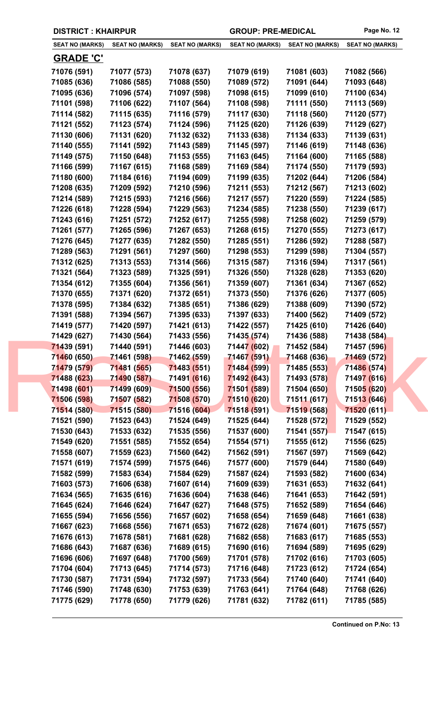|  | <b>DISTRICT: KHAIRPUR</b> |
|--|---------------------------|
|--|---------------------------|

| <b>SEAT NO (MARKS)</b> | <b>SEAT NO (MARKS)</b> | <b>SEAT NO (MARKS)</b> | <b>SEAT NO (MARKS)</b> | <b>SEAT NO (MARKS)</b> | <b>SEAT NO (MARKS)</b> |
|------------------------|------------------------|------------------------|------------------------|------------------------|------------------------|
| <b>GRADE 'C'</b>       |                        |                        |                        |                        |                        |
| 71076 (591)            | 71077 (573)            | 71078 (637)            | 71079 (619)            | 71081 (603)            | 71082 (566)            |
| 71085 (636)            | 71086 (585)            | 71088 (550)            | 71089 (572)            | 71091 (644)            | 71093 (648)            |
| 71095 (636)            | 71096 (574)            | 71097 (598)            | 71098 (615)            | 71099 (610)            | 71100 (634)            |
| 71101 (598)            | 71106 (622)            | 71107 (564)            | 71108 (598)            | 71111 (550)            | 71113 (569)            |
| 71114 (582)            | 71115 (635)            | 71116 (579)            | 71117 (630)            | 71118 (560)            | 71120 (577)            |
| 71121 (552)            | 71123 (574)            | 71124 (596)            | 71125 (620)            | 71126 (639)            | 71129 (627)            |
| 71130 (606)            | 71131 (620)            | 71132 (632)            | 71133 (638)            | 71134 (633)            | 71139 (631)            |
| 71140 (555)            | 71141 (592)            | 71143 (589)            | 71145 (597)            | 71146 (619)            | 71148 (636)            |
| 71149 (575)            | 71150 (648)            | 71153 (555)            | 71163 (645)            | 71164 (600)            | 71165 (588)            |
| 71166 (599)            | 71167 (615)            | 71168 (589)            | 71169 (584)            | 71174 (550)            | 71179 (593)            |
| 71180 (600)            | 71184 (616)            | 71194 (609)            | 71199 (635)            | 71202 (644)            | 71206 (584)            |
| 71208 (635)            | 71209 (592)            | 71210 (596)            | 71211 (553)            | 71212 (567)            | 71213 (602)            |
| 71214 (589)            | 71215 (593)            | 71216 (566)            | 71217 (557)            | 71220 (559)            | 71224 (585)            |
| 71226 (618)            | 71228 (594)            | 71229 (563)            | 71234 (585)            | 71238 (550)            | 71239 (617)            |
| 71243 (616)            | 71251 (572)            | 71252 (617)            | 71255 (598)            | 71258 (602)            | 71259 (579)            |
| 71261 (577)            | 71265 (596)            | 71267 (653)            | 71268 (615)            | 71270 (555)            | 71273 (617)            |
|                        |                        | 71282 (550)            |                        |                        |                        |
| 71276 (645)            | 71277 (635)            |                        | 71285 (551)            | 71286 (592)            | 71288 (587)            |
| 71289 (563)            | 71291 (561)            | 71297 (560)            | 71298 (553)            | 71299 (598)            | 71304 (557)            |
| 71312 (625)            | 71313 (553)            | 71314 (566)            | 71315 (587)            | 71316 (594)            | 71317 (561)            |
| 71321 (564)            | 71323 (589)            | 71325 (591)            | 71326 (550)            | 71328 (628)            | 71353 (620)            |
| 71354 (612)            | 71355 (604)            | 71356 (561)            | 71359 (607)            | 71361 (634)            | 71367 (652)            |
| 71370 (655)            | 71371 (620)            | 71372 (651)            | 71373 (550)            | 71376 (626)            | 71377 (605)            |
| 71378 (595)            | 71384 (632)            | 71385 (651)            | 71386 (629)            | 71388 (609)            | 71390 (572)            |
| 71391 (588)            | 71394 (567)            | 71395 (633)            | 71397 (633)            | 71400 (562)            | 71409 (572)            |
| 71419 (577)            | 71420 (597)            | 71421 (613)            | 71422 (557)            | 71425 (610)            | 71426 (640)            |
| 71429 (627)            | 71430 (564)            | 71433 (556)            | 71435 (574)            | 71436 (588)            | 71438 (584)            |
| 71439 (591)            | 71440 (591)            | 71446 (603)            | 71447 (602)            | 71452 (584)            | 71457 (596)            |
| 71460 (650)            | 71461 (598)            | 71462 (559)            | 71467 (591)            | 71468 (636)            | 71469 (572)            |
| 71479 (579)            | 71481 (565)            | 71483 (551)            | 71484 (599)            | 71485 (553)            | 71486 (574)            |
| 71488 (623)            | 71490 (587)            | 71491 (616)            | 71492 (643)            | 71493 (578)            | 71497 (616)            |
| 71498 (601)            | 71499 (609)            | 71500 (556)            | 71501 (589)            | 71504 (650)            | 71505 (620)            |
| 71506 (598)            | 71507 (582)            | 71508 (570)            | 71510 (620)            | 71511 (617)            | 71513 (646)            |
| 71514 (580)            | 71515 (580)            | 71516 (604)            | 71518 (591)            | 71519 (568)            | 71520 (611)            |
| 71521 (590)            | 71523 (643)            | 71524 (649)            | 71525 (644)            | 71528 (572)            | 71529 (552)            |
| 71530 (643)            | 71533 (632)            | 71535 (556)            | 71537 (600)            | 71541 (557)            | 71547 (615)            |
| 71549 (620)            | 71551 (585)            | 71552 (654)            | 71554 (571)            | 71555 (612)            | 71556 (625)            |
| 71558 (607)            | 71559 (623)            | 71560 (642)            | 71562 (591)            | 71567 (597)            | 71569 (642)            |
| 71571 (619)            | 71574 (599)            | 71575 (646)            | 71577 (600)            | 71579 (644)            | 71580 (649)            |
| 71582 (599)            | 71583 (634)            | 71584 (629)            | 71587 (624)            | 71593 (582)            | 71600 (634)            |
| 71603 (573)            | 71606 (638)            | 71607 (614)            | 71609 (639)            | 71631 (653)            | 71632 (641)            |
| 71634 (565)            | 71635 (616)            | 71636 (604)            | 71638 (646)            | 71641 (653)            | 71642 (591)            |
| 71645 (624)            | 71646 (624)            | 71647 (627)            | 71648 (575)            | 71652 (589)            | 71654 (646)            |
| 71655 (594)            | 71656 (556)            | 71657 (602)            | 71658 (654)            | 71659 (648)            | 71661 (638)            |
| 71667 (623)            | 71668 (556)            | 71671 (653)            | 71672 (628)            | 71674 (601)            | 71675 (557)            |
| 71676 (613)            | 71678 (581)            | 71681 (628)            | 71682 (658)            | 71683 (617)            | 71685 (553)            |
| 71686 (643)            | 71687 (636)            | 71689 (615)            | 71690 (616)            | 71694 (589)            | 71695 (629)            |
| 71696 (606)            | 71697 (648)            | 71700 (569)            | 71701 (578)            | 71702 (616)            | 71703 (605)            |
| 71704 (604)            | 71713 (645)            | 71714 (573)            | 71716 (648)            | 71723 (612)            | 71724 (654)            |
| 71730 (587)            | 71731 (594)            | 71732 (597)            | 71733 (564)            | 71740 (640)            | 71741 (640)            |
| 71746 (590)            | 71748 (630)            | 71753 (639)            | 71763 (641)            | 71764 (648)            | 71768 (626)            |
| 71775 (629)            | 71778 (650)            | 71779 (626)            | 71781 (632)            | 71782 (611)            | 71785 (585)            |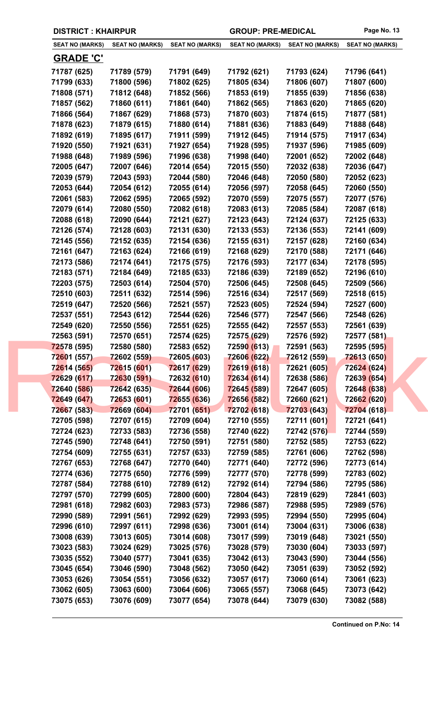| <b>SEAT NO (MARKS)</b> | <b>SEAT NO (MARKS)</b> | <b>SEAT NO (MARKS)</b> | <b>SEAT NO (MARKS)</b> | <b>SEAT NO (MARKS)</b> | <b>SEAT NO (MARKS)</b> |
|------------------------|------------------------|------------------------|------------------------|------------------------|------------------------|
| <b>GRADE 'C'</b>       |                        |                        |                        |                        |                        |
| 71787 (625)            | 71789 (579)            | 71791 (649)            | 71792 (621)            | 71793 (624)            | 71796 (641)            |
| 71799 (633)            | 71800 (596)            | 71802 (625)            | 71805 (634)            | 71806 (607)            | 71807 (600)            |
| 71808 (571)            | 71812 (648)            | 71852 (566)            | 71853 (619)            | 71855 (639)            | 71856 (638)            |
| 71857 (562)            | 71860 (611)            | 71861 (640)            | 71862 (565)            | 71863 (620)            | 71865 (620)            |
| 71866 (564)            | 71867 (629)            | 71868 (573)            | 71870 (603)            | 71874 (615)            | 71877 (581)            |
| 71878 (623)            | 71879 (615)            | 71880 (614)            | 71881 (636)            | 71883 (649)            | 71888 (648)            |
| 71892 (619)            | 71895 (617)            | 71911 (599)            | 71912 (645)            | 71914 (575)            | 71917 (634)            |
| 71920 (550)            | 71921 (631)            | 71927 (654)            | 71928 (595)            | 71937 (596)            | 71985 (609)            |
| 71988 (648)            | 71989 (596)            | 71996 (638)            | 71998 (640)            | 72001 (652)            | 72002 (648)            |
| 72005 (647)            | 72007 (646)            | 72014 (654)            | 72015 (550)            | 72032 (638)            | 72036 (647)            |
| 72039 (579)            | 72043 (593)            | 72044 (580)            | 72046 (648)            | 72050 (580)            | 72052 (623)            |
| 72053 (644)            | 72054 (612)            | 72055 (614)            | 72056 (597)            | 72058 (645)            | 72060 (550)            |
| 72061 (583)            | 72062 (595)            | 72065 (592)            | 72070 (559)            | 72075 (557)            | 72077 (576)            |
| 72079 (614)            | 72080 (550)            | 72082 (618)            | 72083 (613)            | 72085 (584)            | 72087 (618)            |
| 72088 (618)            | 72090 (644)            | 72121 (627)            | 72123 (643)            | 72124 (637)            | 72125 (633)            |
| 72126 (574)            | 72128 (603)            | 72131 (630)            | 72133 (553)            | 72136 (553)            | 72141 (609)            |
| 72145 (556)            | 72152 (635)            | 72154 (636)            | 72155 (631)            | 72157 (628)            | 72160 (634)            |
| 72161 (647)            | 72163 (624)            | 72166 (619)            | 72168 (629)            | 72170 (588)            | 72171 (646)            |
| 72173 (586)            | 72174 (641)            | 72175 (575)            | 72176 (593)            | 72177 (634)            | 72178 (595)            |
| 72183 (571)            | 72184 (649)            | 72185 (633)            | 72186 (639)            | 72189 (652)            | 72196 (610)            |
| 72203 (575)            | 72503 (614)            | 72504 (570)            | 72506 (645)            | 72508 (645)            | 72509 (566)            |
| 72510 (603)            | 72511 (632)            | 72514 (596)            | 72516 (634)            | 72517 (569)            | 72518 (615)            |
| 72519 (647)            | 72520 (566)            | 72521 (557)            | 72523 (605)            | 72524 (594)            | 72527 (600)            |
| 72537 (551)            | 72543 (612)            | 72544 (626)            | 72546 (577)            | 72547 (566)            | 72548 (626)            |
| 72549 (620)            | 72550 (556)            | 72551 (625)            | 72555 (642)            | 72557 (553)            | 72561 (639)            |
| 72563 (591)            | 72570 (651)            | 72574 (625)            | 72575 (629)            | 72576 (592)            | 72577 (581)            |
| 72578 (595)            | 72580 (580)            | 72583 (652)            | 72590 (613)            | 72591 (563)            | 72595 (595)            |
| 72601 (557)            | 72602 (559)            | 72605 (603)            | 72606 (622)            | 72612 (559)            | <b>72613 (650)</b>     |
| 72614 (565)            | 72615 (601)            | 72617 (629)            | 72619 (618)            | 72621 (605)            | 72624 (624)            |
| 72629 (617)            | 72630 (591)            | 72632 (610)            | 72634 (614)            | 72638 (586)            | 72639 (654)            |
| 72640 (586)            | 72642 (635)            | 72644 (606)            | 72645 (589)            | 72647 (605)            | 72648 (638)            |
| 72649 (647)            | 72653 (601)            | 72655 (636)            | 72656 (582)            | 72660 (621)            | 72662 (620)            |
| 72667 (583)            | 72669 (604)            | 72701 (651)            | 72702 (618)            | 72703 (643)            | 72704 (618)            |
| 72705 (598)            | 72707 (615)            | 72709 (604)            | 72710 (555)            | 72711 (601)            | 72721 (641)            |
| 72724 (623)            | 72733 (583)            | 72736 (558)            | 72740 (622)            | 72742 (576)            | 72744 (559)            |
| 72745 (590)            | 72748 (641)            | 72750 (591)            | 72751 (580)            | 72752 (585)            | 72753 (622)            |
| 72754 (609)            | 72755 (631)            | 72757 (633)            | 72759 (585)            | 72761 (606)            | 72762 (598)            |
| 72767 (653)            | 72768 (647)            | 72770 (640)            | 72771 (640)            | 72772 (596)            | 72773 (614)            |
| 72774 (636)            | 72775 (650)            | 72776 (599)            | 72777 (570)            | 72778 (599)            | 72783 (602)            |
| 72787 (584)            | 72788 (610)            | 72789 (612)            | 72792 (614)            | 72794 (586)            | 72795 (586)            |
| 72797 (570)            | 72799 (605)            | 72800 (600)            | 72804 (643)            | 72819 (629)            | 72841 (603)            |
| 72981 (618)            | 72982 (603)            | 72983 (573)            | 72986 (587)            | 72988 (595)            | 72989 (576)            |
| 72990 (589)            | 72991 (561)            | 72992 (629)            | 72993 (595)            | 72994 (550)            | 72995 (604)            |
| 72996 (610)            | 72997 (611)            | 72998 (636)            | 73001 (614)            | 73004 (631)            | 73006 (638)            |
| 73008 (639)            | 73013 (605)            | 73014 (608)            | 73017 (599)            | 73019 (648)            | 73021 (550)            |
| 73023 (583)            | 73024 (629)            | 73025 (576)            | 73028 (579)            | 73030 (604)            | 73033 (597)            |
|                        | 73040 (577)            | 73041 (635)            | 73042 (613)            | 73043 (590)            | 73044 (556)            |
| 73035 (552)            |                        |                        | 73050 (642)            |                        |                        |
| 73045 (654)            | 73046 (590)            | 73048 (562)            |                        | 73051 (639)            | 73052 (592)            |
| 73053 (626)            | 73054 (551)            | 73056 (632)            | 73057 (617)            | 73060 (614)            | 73061 (623)            |
| 73062 (605)            | 73063 (600)            | 73064 (606)            | 73065 (557)            | 73068 (645)            | 73073 (642)            |
| 73075 (653)            | 73076 (609)            | 73077 (654)            | 73078 (644)            | 73079 (630)            | 73082 (588)            |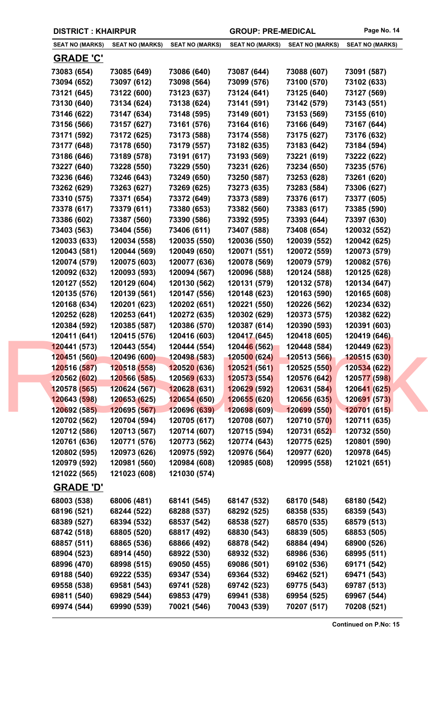| <b>SEAT NO (MARKS)</b>           | <b>SEAT NO (MARKS)</b>       | <b>SEAT NO (MARKS)</b>       | <b>SEAT NO (MARKS)</b>       | <b>SEAT NO (MARKS)</b>       | <b>SEAT NO (MARKS)</b>       |
|----------------------------------|------------------------------|------------------------------|------------------------------|------------------------------|------------------------------|
| <u>GRADE 'C'</u>                 |                              |                              |                              |                              |                              |
| 73083 (654)                      | 73085 (649)                  | 73086 (640)                  | 73087 (644)                  | 73088 (607)                  | 73091 (587)                  |
| 73094 (652)                      | 73097 (612)                  | 73098 (564)                  | 73099 (576)                  | 73100 (570)                  | 73102 (633)                  |
| 73121 (645)                      | 73122 (600)                  | 73123 (637)                  | 73124 (641)                  | 73125 (640)                  | 73127 (569)                  |
| 73130 (640)                      | 73134 (624)                  | 73138 (624)                  | 73141 (591)                  | 73142 (579)                  | 73143 (551)                  |
| 73146 (622)                      | 73147 (634)                  | 73148 (595)                  | 73149 (601)                  | 73153 (569)                  | 73155 (610)                  |
| 73156 (566)                      | 73157 (627)                  | 73161 (576)                  | 73164 (616)                  | 73166 (649)                  | 73167 (644)                  |
| 73171 (592)                      | 73172 (625)                  | 73173 (588)                  | 73174 (558)                  | 73175 (627)                  | 73176 (632)                  |
| 73177 (648)                      | 73178 (650)                  | 73179 (557)                  | 73182 (635)                  | 73183 (642)                  | 73184 (594)                  |
| 73186 (646)                      | 73189 (578)                  | 73191 (617)                  | 73193 (569)                  | 73221 (619)                  | 73222 (622)                  |
| 73227 (640)                      | 73228 (550)                  | 73229 (550)                  | 73231 (626)                  | 73234 (650)                  | 73235 (576)                  |
| 73236 (646)                      | 73246 (643)                  | 73249 (650)                  | 73250 (587)                  | 73253 (628)                  | 73261 (620)                  |
| 73262 (629)                      | 73263 (627)                  | 73269 (625)                  | 73273 (635)                  | 73283 (584)                  | 73306 (627)                  |
| 73310 (575)                      | 73371 (654)                  | 73372 (649)                  | 73373 (589)                  | 73376 (617)                  | 73377 (605)                  |
| 73378 (617)                      | 73379 (611)                  | 73380 (653)                  | 73382 (560)                  | 73383 (617)                  | 73385 (590)                  |
| 73386 (602)                      | 73387 (560)                  | 73390 (586)                  | 73392 (595)                  | 73393 (644)                  | 73397 (630)                  |
| 73403 (563)                      | 73404 (556)                  | 73406 (611)                  | 73407 (588)                  | 73408 (654)                  | 120032 (552)                 |
| 120033 (633)                     | 120034 (558)                 | 120035 (550)                 | 120036 (550)                 | 120039 (552)                 | 120042 (625)                 |
| 120043 (581)                     | 120044 (569)                 | 120049 (650)                 | 120071 (551)                 | 120072 (559)                 | 120073 (579)                 |
| 120074 (579)                     | 120075 (603)                 | 120077 (636)                 | 120078 (569)                 | 120079 (579)                 | 120082 (576)                 |
| 120092 (632)                     | 120093 (593)                 | 120094 (567)                 | 120096 (588)                 | 120124 (588)                 | 120125 (628)                 |
| 120127 (552)                     | 120129 (604)                 | 120130 (562)                 | 120131 (579)                 | 120132 (578)                 | 120134 (647)                 |
| 120135 (576)                     | 120139 (561)                 | 120147 (556)                 | 120148 (623)                 | 120163 (590)                 | 120165 (608)                 |
| 120168 (634)                     | 120201 (623)                 | 120202 (651)                 | 120221 (550)                 | 120226 (562)                 | 120234 (632)                 |
|                                  |                              |                              |                              |                              |                              |
| 120252 (628)                     | 120253 (641)                 | 120272 (635)                 | 120302 (629)                 | 120373 (575)                 | 120382 (622)                 |
| 120384 (592)<br>120411 (641)     | 120385 (587)                 | 120386 (570)<br>120416 (603) | 120387 (614)<br>120417 (645) | 120390 (593)                 | 120391 (603)                 |
| 120441 (573)                     | 120415 (576)<br>120443 (554) | 120444 (554)                 | 120446 (562)                 | 120418 (605)<br>120448 (584) | 120419 (646)<br>120449 (623) |
| 120451 (560)                     | 120496 (600)                 | 120498 (583)                 | 120500 (624)                 |                              |                              |
|                                  |                              | 120520 (636)                 |                              | 120513 (566)                 | 120515 (630)                 |
| 120516 (587)<br>120562 (602)     | 120518 (558)<br>120566 (585) | 120569 (633)                 | 120521 (561)                 | 120525 (550)<br>120576 (642) | 120534 (622)<br>120577 (598) |
|                                  |                              |                              | 120573 (554)                 |                              |                              |
| 120578 (565)                     | 120624 (567)                 | 120628 (631)                 | 120629 (592)                 | 120631 (584)                 | 120641 (625)                 |
| 120643 (598)                     | 120653 (625)                 | <b>120654 (650)</b>          | 120655 (620)                 | 120656 (635)                 | 120691 (573)                 |
| 120692 (585)                     | 120695 (567)                 | 120696 (639)                 | 120698 (609)                 | 120699 (550)                 | 120701 (615)                 |
| 120702 (562)                     | 120704 (594)                 | 120705 (617)                 | 120708 (607)                 | 120710 (570)                 | 120711 (635)                 |
| 120712 (586)                     | 120713 (567)                 | 120714 (607)                 | 120715 (594)                 | 120731 (652)                 | 120732 (550)                 |
| 120761 (636)                     | 120771 (576)                 | 120773 (562)                 | 120774 (643)                 | 120775 (625)                 | 120801 (590)                 |
| 120802 (595)                     | 120973 (626)                 | 120975 (592)                 | 120976 (564)                 | 120977 (620)                 | 120978 (645)                 |
| 120979 (592)                     | 120981 (560)                 | 120984 (608)                 | 120985 (608)                 | 120995 (558)                 | 121021 (651)                 |
| 121022 (565)<br><b>GRADE 'D'</b> | 121023 (608)                 | 121030 (574)                 |                              |                              |                              |
|                                  |                              |                              |                              |                              |                              |
| 68003 (538)                      | 68006 (481)                  | 68141 (545)                  | 68147 (532)                  | 68170 (548)                  | 68180 (542)                  |
| 68196 (521)                      | 68244 (522)                  | 68288 (537)                  | 68292 (525)                  | 68358 (535)                  | 68359 (543)                  |
| 68389 (527)                      | 68394 (532)                  | 68537 (542)                  | 68538 (527)                  | 68570 (535)                  | 68579 (513)                  |
| 68742 (518)                      | 68805 (520)                  | 68817 (492)                  | 68830 (543)                  | 68839 (505)                  | 68853 (505)                  |
| 68857 (511)                      | 68865 (536)                  | 68866 (492)                  | 68878 (542)                  | 68884 (494)                  | 68900 (526)                  |
| 68904 (523)                      | 68914 (450)                  | 68922 (530)                  | 68932 (532)                  | 68986 (536)                  | 68995 (511)                  |
| 68996 (470)                      | 68998 (515)                  | 69050 (455)                  | 69086 (501)                  | 69102 (536)                  | 69171 (542)                  |
| 69188 (540)                      | 69222 (535)                  | 69347 (534)                  | 69364 (532)                  | 69462 (521)                  | 69471 (543)                  |
| 69558 (538)                      | 69581 (543)                  | 69741 (528)                  | 69742 (523)                  | 69775 (543)                  | 69787 (513)                  |
| 69811 (540)                      | 69829 (544)                  | 69853 (479)                  | 69941 (538)                  | 69954 (525)                  | 69967 (544)                  |
| 69974 (544)                      | 69990 (539)                  | 70021 (546)                  | 70043 (539)                  | 70207 (517)                  | 70208 (521)                  |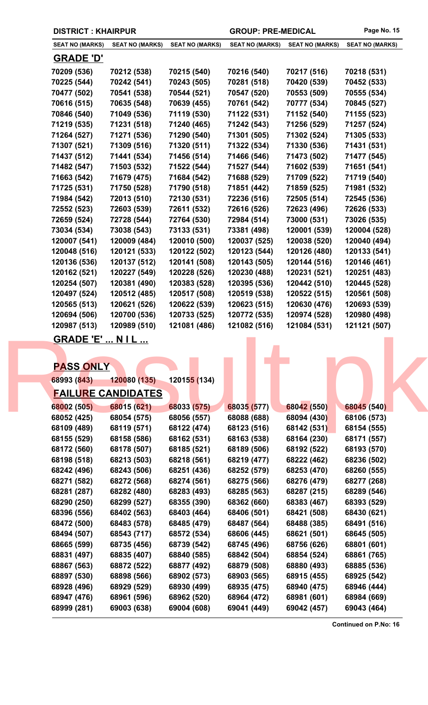| <b>SEAT NO (MARKS)</b> | <b>SEAT NO (MARKS)</b> | <b>SEAT NO (MARKS)</b> | <b>SEAT NO (MARKS)</b> | <b>SEAT NO (MARKS)</b> | <b>SEAT NO (MARKS)</b> |
|------------------------|------------------------|------------------------|------------------------|------------------------|------------------------|
| <b>GRADE 'D'</b>       |                        |                        |                        |                        |                        |
| 70209 (536)            | 70212 (538)            | 70215 (540)            | 70216 (540)            | 70217 (516)            | 70218 (531)            |
| 70225 (544)            | 70242 (541)            | 70243 (505)            | 70281 (518)            | 70420 (539)            | 70452 (533)            |
| 70477 (502)            | 70541 (538)            | 70544 (521)            | 70547 (520)            | 70553 (509)            | 70555 (534)            |
| 70616 (515)            | 70635 (548)            | 70639 (455)            | 70761 (542)            | 70777 (534)            | 70845 (527)            |
| 70846 (540)            | 71049 (536)            | 71119 (530)            | 71122 (531)            | 71152 (540)            | 71155 (523)            |
| 71219 (535)            | 71231 (518)            | 71240 (465)            | 71242 (543)            | 71256 (529)            | 71257 (524)            |
| 71264 (527)            | 71271 (536)            | 71290 (540)            | 71301 (505)            | 71302 (524)            | 71305 (533)            |
| 71307 (521)            | 71309 (516)            | 71320 (511)            | 71322 (534)            | 71330 (536)            | 71431 (531)            |
| 71437 (512)            | 71441 (534)            | 71456 (514)            | 71466 (546)            | 71473 (502)            | 71477 (545)            |
| 71482 (547)            | 71503 (532)            | 71522 (544)            | 71527 (544)            | 71602 (539)            | 71651 (541)            |
| 71663 (542)            | 71679 (475)            | 71684 (542)            | 71688 (529)            | 71709 (522)            | 71719 (540)            |
| 71725 (531)            | 71750 (528)            | 71790 (518)            | 71851 (442)            | 71859 (525)            | 71981 (532)            |
| 71984 (542)            | 72013 (510)            | 72130 (531)            | 72236 (516)            | 72505 (514)            | 72545 (536)            |
| 72552 (523)            | 72603 (539)            | 72611 (532)            | 72616 (526)            | 72623 (496)            | 72626 (533)            |
| 72659 (524)            | 72728 (544)            | 72764 (530)            | 72984 (514)            | 73000 (531)            | 73026 (535)            |
| 73034 (534)            | 73038 (543)            | 73133 (531)            | 73381 (498)            | 120001 (539)           | 120004 (528)           |
| 120007 (541)           | 120009 (484)           | 120010 (500)           | 120037 (525)           | 120038 (520)           | 120040 (494)           |
| 120048 (516)           | 120121 (533)           | 120122 (502)           | 120123 (544)           | 120126 (480)           | 120133 (541)           |
| 120136 (536)           | 120137 (512)           | 120141 (508)           | 120143 (505)           | 120144 (516)           | 120146 (461)           |
| 120162 (521)           | 120227 (549)           | 120228 (526)           | 120230 (488)           | 120231 (521)           | 120251 (483)           |
| 120254 (507)           | 120381 (490)           | 120383 (528)           | 120395 (536)           | 120442 (510)           | 120445 (528)           |
| 120497 (524)           | 120512 (485)           | 120517 (508)           | 120519 (538)           | 120522 (515)           | 120561 (508)           |
| 120565 (513)           | 120621 (526)           | 120622 (539)           | 120623 (515)           | 120630 (476)           | 120693 (539)           |
| 120694 (506)           | 120700 (536)           | 120733 (525)           | 120772 (535)           | 120974 (528)           | 120980 (498)           |
| 120987 (513)           | 120989 (510)           | 121081 (486)           | 121082 (516)           | 121084 (531)           | 121121 (507)           |
| ------                 | .                      |                        |                        |                        |                        |

| <u>GRADE 'E'  N I L </u> |                           |                             |             |             |             |  |
|--------------------------|---------------------------|-----------------------------|-------------|-------------|-------------|--|
|                          |                           |                             |             |             |             |  |
|                          |                           |                             |             |             |             |  |
| <b>PASS ONLY</b>         |                           |                             |             |             |             |  |
| 68993 (843)              | 120080 (135)              | 12015 <mark>5 (</mark> 134) |             |             |             |  |
|                          | <b>FAILURE CANDIDATES</b> |                             |             |             |             |  |
| 68002 (505)              | 68015 (621)               | 68033 (575)                 | 68035 (577) | 68042 (550) | 68045 (540) |  |
| 68052 (425)              | 68054 (575)               | 68056 (557)                 | 68088 (688) | 68094 (430) | 68106 (573) |  |
| 68109 (489)              | 68119 (571)               | 68122 (474)                 | 68123 (516) | 68142 (531) | 68154 (555) |  |
| 68155 (529)              | 68158 (586)               | 68162 (531)                 | 68163 (538) | 68164 (230) | 68171 (557) |  |
| 68172 (560)              | 68178 (507)               | 68185 (521)                 | 68189 (506) | 68192 (522) | 68193 (570) |  |
| 68198 (518)              | 68213 (503)               | 68218 (561)                 | 68219 (477) | 68222 (462) | 68236 (502) |  |
| 68242 (496)              | 68243 (506)               | 68251 (436)                 | 68252 (579) | 68253 (470) | 68260 (555) |  |
| 68271 (582)              | 68272 (568)               | 68274 (561)                 | 68275 (566) | 68276 (479) | 68277 (268) |  |
| 68281 (287)              | 68282 (480)               | 68283 (493)                 | 68285 (563) | 68287 (215) | 68289 (546) |  |
| 68290 (250)              | 68299 (527)               | 68355 (390)                 | 68362 (660) | 68383 (467) | 68393 (529) |  |
| 68396 (556)              | 68402 (563)               | 68403 (464)                 | 68406 (501) | 68421 (508) | 68430 (621) |  |
| 68472 (500)              | 68483 (578)               | 68485 (479)                 | 68487 (564) | 68488 (385) | 68491 (516) |  |
| 68494 (507)              | 68543 (717)               | 68572 (534)                 | 68606 (445) | 68621 (501) | 68645 (505) |  |
| 68665 (599)              | 68735 (456)               | 68739 (542)                 | 68745 (496) | 68756 (626) | 68801 (601) |  |
| 68831 (497)              | 68835 (407)               | 68840 (585)                 | 68842 (504) | 68854 (524) | 68861 (765) |  |
| 68867 (563)              | 68872 (522)               | 68877 (492)                 | 68879 (508) | 68880 (493) | 68885 (536) |  |
| 68897 (530)              | 68898 (566)               | 68902 (573)                 | 68903 (565) | 68915 (455) | 68925 (542) |  |
| 68928 (496)              | 68929 (529)               | 68930 (499)                 | 68935 (475) | 68940 (475) | 68946 (444) |  |
| 68947 (476)              | 68961 (596)               | 68962 (520)                 | 68964 (472) | 68981 (601) | 68984 (669) |  |
| 68999 (281)              | 69003 (638)               | 69004 (608)                 | 69041 (449) | 69042 (457) | 69043 (464) |  |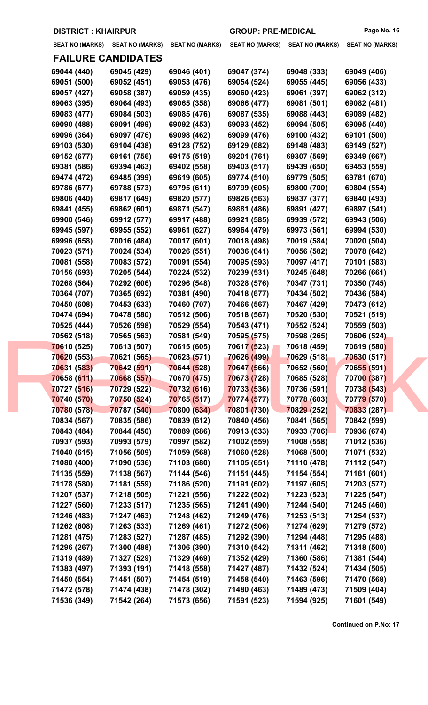|  | <b>DISTRICT: KHAIRPUR</b> |
|--|---------------------------|
|--|---------------------------|

| <b>SEAT NO (MARKS)</b> | <b>SEAT NO (MARKS)</b>    | <b>SEAT NO (MARKS)</b> | <b>SEAT NO (MARKS)</b> | <b>SEAT NO (MARKS)</b> | <b>SEAT NO (MARKS)</b> |
|------------------------|---------------------------|------------------------|------------------------|------------------------|------------------------|
|                        |                           |                        |                        |                        |                        |
|                        | <u>FAILURE CANDIDATES</u> |                        |                        |                        |                        |
| 69044 (440)            | 69045 (429)               | 69046 (401)            | 69047 (374)            | 69048 (333)            | 69049 (406)            |
| 69051 (500)            | 69052 (451)               | 69053 (476)            | 69054 (524)            | 69055 (445)            | 69056 (433)            |
| 69057 (427)            | 69058 (387)               | 69059 (435)            | 69060 (423)            | 69061 (397)            | 69062 (312)            |
| 69063 (395)            | 69064 (493)               | 69065 (358)            | 69066 (477)            | 69081 (501)            | 69082 (481)            |
| 69083 (477)            | 69084 (503)               | 69085 (476)            | 69087 (535)            | 69088 (443)            | 69089 (482)            |
| 69090 (488)            | 69091 (499)               | 69092 (453)            | 69093 (452)            | 69094 (505)            | 69095 (440)            |
| 69096 (364)            | 69097 (476)               | 69098 (462)            | 69099 (476)            | 69100 (432)            | 69101 (500)            |
| 69103 (530)            | 69104 (438)               | 69128 (752)            | 69129 (682)            | 69148 (483)            | 69149 (527)            |
| 69152 (677)            | 69161 (756)               | 69175 (519)            | 69201 (761)            | 69307 (569)            | 69349 (667)            |
| 69381 (586)            | 69394 (463)               | 69402 (558)            | 69403 (517)            | 69439 (650)            | 69453 (559)            |
| 69474 (472)            | 69485 (399)               | 69619 (605)            | 69774 (510)            | 69779 (505)            | 69781 (670)            |
| 69786 (677)            | 69788 (573)               | 69795 (611)            | 69799 (605)            | 69800 (700)            | 69804 (554)            |
| 69806 (440)            | 69817 (649)               | 69820 (577)            | 69826 (563)            | 69837 (377)            | 69840 (493)            |
| 69841 (455)            | 69862 (601)               | 69871 (547)            | 69881 (486)            | 69891 (427)            | 69897 (541)            |
| 69900 (546)            | 69912 (577)               | 69917 (488)            | 69921 (585)            | 69939 (572)            | 69943 (506)            |
|                        |                           |                        |                        |                        |                        |
| 69945 (597)            | 69955 (552)               | 69961 (627)            | 69964 (479)            | 69973 (561)            | 69994 (530)            |
| 69996 (658)            | 70016 (484)               | 70017 (601)            | 70018 (498)            | 70019 (584)            | 70020 (504)            |
| 70023 (571)            | 70024 (534)               | 70026 (551)            | 70036 (641)            | 70056 (582)            | 70078 (642)            |
| 70081 (558)            | 70083 (572)               | 70091 (554)            | 70095 (593)            | 70097 (417)            | 70101 (583)            |
| 70156 (693)            | 70205 (544)               | 70224 (532)            | 70239 (531)            | 70245 (648)            | 70266 (661)            |
| 70268 (564)            | 70292 (606)               | 70296 (548)            | 70328 (576)            | 70347 (731)            | 70350 (745)            |
| 70364 (707)            | 70365 (692)               | 70381 (490)            | 70418 (677)            | 70434 (502)            | 70436 (584)            |
| 70450 (608)            | 70453 (633)               | 70460 (707)            | 70466 (567)            | 70467 (429)            | 70473 (612)            |
| 70474 (694)            | 70478 (580)               | 70512 (506)            | 70518 (567)            | 70520 (530)            | 70521 (519)            |
| 70525 (444)            | 70526 (598)               | 70529 (554)            | 70543 (471)            | 70552 (524)            | 70559 (503)            |
| 70562 (518)            | 70565 (563)               | 70581 (549)            | 70595 (575)            | 70598 (265)            | 70606 (524)            |
| 70610 (525)            | 70613 (507)               | 70615 (605)            | 70617 (523)            | 70618 (459)            | 70619 (580)            |
| 70620 (553)            | 70621 (565)               | 70623 (571)            | <b>70626 (499)</b>     | 70629 (518)            | 70630 (517)            |
| 70631 (583)            | 70642 (591)               | 70644 (528)            | 70647 (566)            | 70652 (560)            | 70655 (591)            |
| 70658 (611)            | 70668 (557)               | 70670 (475)            | 70673 (728)            | 70685 (528)            | 70700 (387)            |
| 70727 (516)            | 70729 (522)               | 70732 (616)            | 70733 (536)            | 70736 (591)            | 70738 (543)            |
| 70740 (570)            | 70750 (524)               | 70765 (517)            | 70774 (577)            | 70778 (603)            | 70779 (570)            |
| 70780 (578)            | 70787 (540)               | 70800 (634)            | 70801 (730)            | 70829 (252)            | 70833 (287)            |
| 70834 (567)            | 70835 (586)               | 70839 (612)            | 70840 (456)            | 70841 (565)            | 70842 (599)            |
| 70843 (484)            | 70844 (450)               | 70889 (686)            | 70913 (633)            | 70933 (706)            | 70936 (674)            |
| 70937 (593)            | 70993 (579)               | 70997 (582)            | 71002 (559)            | 71008 (558)            | 71012 (536)            |
| 71040 (615)            | 71056 (509)               | 71059 (568)            | 71060 (528)            | 71068 (500)            | 71071 (532)            |
| 71080 (400)            | 71090 (536)               | 71103 (680)            | 71105 (651)            | 71110 (478)            | 71112 (547)            |
| 71135 (559)            | 71138 (567)               | 71144 (546)            | 71151 (445)            | 71154 (554)            | 71161 (601)            |
| 71178 (580)            | 71181 (559)               | 71186 (520)            | 71191 (602)            | 71197 (605)            | 71203 (577)            |
| 71207 (537)            | 71218 (505)               | 71221 (556)            | 71222 (502)            | 71223 (523)            | 71225 (547)            |
| 71227 (560)            | 71233 (517)               | 71235 (565)            | 71241 (490)            | 71244 (540)            | 71245 (460)            |
| 71246 (483)            | 71247 (463)               | 71248 (462)            | 71249 (476)            | 71253 (513)            | 71254 (537)            |
| 71262 (608)            | 71263 (533)               | 71269 (461)            | 71272 (506)            | 71274 (629)            | 71279 (572)            |
| 71281 (475)            | 71283 (527)               | 71287 (485)            | 71292 (390)            | 71294 (448)            | 71295 (488)            |
|                        | 71300 (488)               | 71306 (390)            | 71310 (542)            | 71311 (462)            | 71318 (500)            |
| 71296 (267)            |                           |                        |                        |                        |                        |
| 71319 (489)            | 71327 (529)               | 71329 (469)            | 71352 (429)            | 71360 (586)            | 71381 (544)            |
| 71383 (497)            | 71393 (191)               | 71418 (558)            | 71427 (487)            | 71432 (524)            | 71434 (505)            |
| 71450 (554)            | 71451 (507)               | 71454 (519)            | 71458 (540)            | 71463 (596)            | 71470 (568)            |
| 71472 (578)            | 71474 (438)               | 71478 (302)            | 71480 (463)            | 71489 (473)            | 71509 (404)            |
| 71536 (349)            | 71542 (264)               | 71573 (656)            | 71591 (523)            | 71594 (925)            | 71601 (549)            |